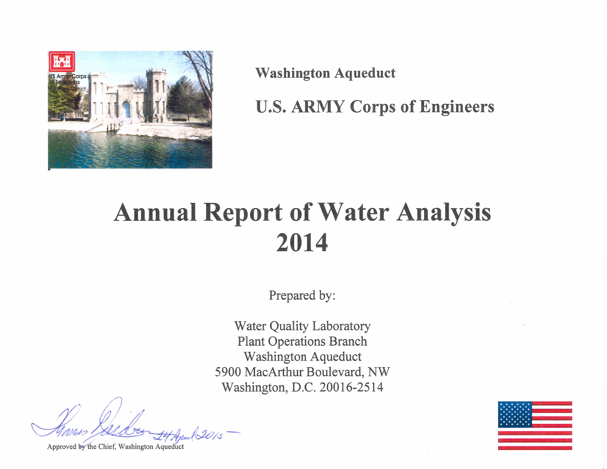

**Washington Aqueduct** 

**U.S. ARMY Corps of Engineers** 

# **Annual Report of Water Analysis** 2014

Prepared by:

**Water Quality Laboratory Plant Operations Branch** Washington Aqueduct 5900 MacArthur Boulevard, NW Washington, D.C. 20016-2514

Approved by the Chief, Washington Aqueduct

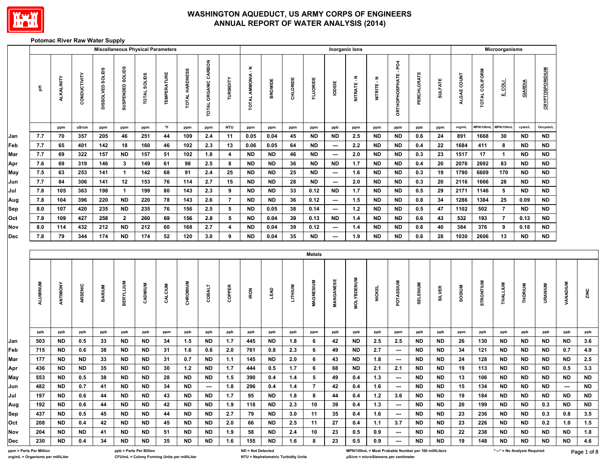

#### **Potomac River Raw Water Supply**

|                         |                 |            |              |                  |                  | <b>Miscellaneous Physical Parameters</b> |                    |                |                      |                |                           |           |          |                 |                          | Inorganic lons    |               |                          |                                                      |                |               |                | Microorganisms               |           |                        |                 |           |
|-------------------------|-----------------|------------|--------------|------------------|------------------|------------------------------------------|--------------------|----------------|----------------------|----------------|---------------------------|-----------|----------|-----------------|--------------------------|-------------------|---------------|--------------------------|------------------------------------------------------|----------------|---------------|----------------|------------------------------|-----------|------------------------|-----------------|-----------|
|                         | $\frac{\pi}{2}$ | ALKALINITY | CONDUCTIVITY | DISSOLVED SOLIDS | SUSPENDED SOLIDS | TOTAL SOLIDS                             | <b>TEMPERATURE</b> | TOTAL HARDNESS | TOTAL ORGANIC CARBON | TURBIDITY      | Ŧ<br><b>TOTAL AMMONIA</b> | BROMIDE   | CHLORIDE | <b>FLUORIDE</b> | lopipe                   | NITRATE-N         | NITRITE - N   | ORTHOPHOSPHATE - PO4     | PERCHLORATE                                          | <b>SULFATE</b> | ALGAE COUNT   | TOTAL COLIFORM | <b>TOOT</b>                  | GIARDIA   | <b>CRYPTOSPORIDIUM</b> |                 |           |
|                         |                 | ppm        | uS/cm        | ppm              | ppm              | ppm                                      | $\circ$ F          | ppm            | ppm                  | <b>NTU</b>     | ppm                       | ppm       | ppm      | ppm             | ppb                      | ppm               | ppm           | ppm                      | ppb                                                  | ppm            | org/mL        | MPN/100ml      | <b>MPN/100ml</b>             | cysts/L   | Oocysts/L              |                 |           |
| Jan                     | 7.7             | 70         | 357          | 205              | 46               | 251                                      | 44                 | 109            | 2.4                  | 11             | 0.05                      | 0.04      | 45       | <b>ND</b>       | <b>ND</b>                | 2.5               | <b>ND</b>     | <b>ND</b>                | 0.6                                                  | 24             | 891           | 1668           | 30                           | <b>ND</b> | ND                     |                 |           |
| Feb                     | 7.7             | 65         | 401          | 142              | 18               | 160                                      | 46                 | 102            | 2.3                  | 13             | 0.06                      | 0.05      | 64       | <b>ND</b>       | $\cdots$                 | 2.2               | <b>ND</b>     | <b>ND</b>                | 0.4                                                  | 22             | 1684          | 411            | 8                            | <b>ND</b> | <b>ND</b>              |                 |           |
| Mar                     | 7.7             | 69         | 322          | 157              | <b>ND</b>        | 157                                      | 51                 | 102            | 1.8                  | 4              | <b>ND</b>                 | <b>ND</b> | 46       | <b>ND</b>       | $\hspace{0.05cm} \cdots$ | 2.0               | <b>ND</b>     | <b>ND</b>                | 0.3                                                  | 23             | 1517          | 17             | $\mathbf{1}$                 | <b>ND</b> | <b>ND</b>              |                 |           |
| Apr                     | 7.6             | 69         | 319          | 146              | $\mathbf{3}$     | 149                                      | 61                 | 98             | 2.5                  | 8              | ND                        | ND        | 36       | ND              | ND                       | 1.7               | ND            | ND                       | 0.4                                                  | 20             | 2076          | 2692           | 83                           | <b>ND</b> | <b>ND</b>              |                 |           |
| May                     | 7.5             | 63         | 253          | 141              | $\mathbf{1}$     | 142                                      | 68                 | 91             | 2.4                  | 25             | <b>ND</b>                 | <b>ND</b> | 25       | <b>ND</b>       | $\overline{\phantom{a}}$ | 1.6               | ND            | <b>ND</b>                | 0.3                                                  | 19             | 1790          | 6609           | 170                          | <b>ND</b> | <b>ND</b>              |                 |           |
| Jun                     | 7.7             | 84         | 306          | 141              | 12               | 153                                      | 76                 | 114            | 2.7                  | 15             | <b>ND</b>                 | <b>ND</b> | 28       | <b>ND</b>       | $\cdots$                 | 2.0               | <b>ND</b>     | <b>ND</b>                | 0.3                                                  | 20             | 2116          | 1666           | 28                           | <b>ND</b> | <b>ND</b>              |                 |           |
| Jul                     | 7.8             | 105        | 363          | 198              | $\mathbf{1}$     | 199                                      | 80                 | 143            | 2.3                  | 9              | <b>ND</b>                 | <b>ND</b> | 33       | 0.12            | <b>ND</b>                | 1.7               | <b>ND</b>     | <b>ND</b>                | 0.5                                                  | 29             | 2171          | 1146           | 5                            | <b>ND</b> | <b>ND</b>              |                 |           |
| Aug                     | 7.8             | 104        | 396          | 220              | <b>ND</b>        | 220                                      | 78                 | 143            | 2.6                  | $\overline{7}$ | <b>ND</b>                 | <b>ND</b> | 36       | 0.12            | $\sim$                   | 1.5               | <b>ND</b>     | <b>ND</b>                | 0.8                                                  | 34             | 1286          | 1384           | 25                           | 0.09      | <b>ND</b>              |                 |           |
| Sep                     | 8.0             | 107        | 420          | 235              | <b>ND</b>        | 235                                      | 76                 | 156            | 2.5                  | 5              | ND                        | 0.05      | 38       | 0.14            | $\overline{\phantom{a}}$ | $1.2$             | ND            | ND                       | 0.5                                                  | 47             | 1102          | 502            | $\overline{7}$               | <b>ND</b> | ND                     |                 |           |
| Oct                     | 7.9             | 109        | 427          | 258              | $\mathbf{2}$     | 260                                      | 69                 | 156            | 2.8                  | 5              | ND                        | 0.04      | 39       | 0.13            | ND                       | 1.4               | <b>ND</b>     | <b>ND</b>                | 0.6                                                  | 43             | 532           | 193            | $\overline{7}$               | 0.13      | <b>ND</b>              |                 |           |
| Nov                     | 8.0             | 114        | 432          | 212              | <b>ND</b>        | 212                                      | 60                 | 168            | 2.7                  | 4              | ND                        | 0.04      | 39       | 0.12            | ---                      | 1.4               | ND            | ND                       | 0.6                                                  | 40             | 384           | 376            | 9                            | 0.18      | <b>ND</b>              |                 |           |
| <b>Dec</b>              | 7.8             | 79         | 344          | 174              | <b>ND</b>        | 174                                      | 52                 | 120            | 3.0                  | 9              | <b>ND</b>                 | 0.04      | 35       | <b>ND</b>       | ---                      | 1.9               | <b>ND</b>     | <b>ND</b>                | 0.6                                                  | 28             | 1030          | 2606           | 13                           | <b>ND</b> | <b>ND</b>              |                 |           |
|                         |                 |            |              |                  |                  |                                          |                    |                |                      |                |                           |           |          | <b>Metals</b>   |                          |                   |               |                          |                                                      |                |               |                |                              |           |                        |                 |           |
|                         | <b>ALUMINUM</b> | ANTIMONY   | ARSENIC      | <b>BARIUM</b>    | <b>BERYLLIUM</b> | CADMIUM                                  | CALCIUM            | CHROMIUM       | <b>COBALT</b>        | COPPER         | <b>IRON</b>               | LEAD      | LITHIUM  | MAGNESIUM       | MANGANESE                | <b>MOLYBDENUM</b> | <b>NICKEL</b> | POTASSIUM                | <b>SELENIUM</b>                                      | <b>SILVER</b>  | <b>SODIUM</b> | STRONTIUM      | THALLIUM                     | THORIUM   | URANIUM                | <b>VANADIUM</b> | ZINC      |
|                         | ppb             | ppb        | ppb          | ppb              | ppb              | ppb                                      | ppm                | ppb            | ppb                  | ppb            | ppb                       | ppb       | ppb      | ppm             | ppb                      | ppb               | ppb           | ppm                      | ppb                                                  | ppb            | ppm           | ppb            | ppb                          | ppb       | ppb                    | ppb             | ppb       |
| Jan                     | 503             | <b>ND</b>  | 0.5          | 33               | ND               | <b>ND</b>                                | 34                 | 1.5            | ND                   | 1.7            | 445                       | ND        | 1.8      | 6               | 42                       | ND                | 2.5           | 2.5                      | ND                                                   | ND             | 26            | 130            | <b>ND</b>                    | ND        | <b>ND</b>              | <b>ND</b>       | $3.6\,$   |
| Feb                     | 715             | <b>ND</b>  | 0.6          | 38               | ND               | <b>ND</b>                                | 31                 | 1.6            | 0.6                  | 2.0            | 761                       | 0.8       | 2.3      | 6               | 49                       | ND                | 2.7           | $\hspace{0.05cm} \cdots$ | ND                                                   | <b>ND</b>      | 34            | 121            | <b>ND</b>                    | <b>ND</b> | <b>ND</b>              | 0.7             | $4.9\,$   |
| Mar                     | 177             | ND         | <b>ND</b>    | 33               | ND               | <b>ND</b>                                | 31                 | 0.7            | <b>ND</b>            | 1.1            | 145                       | <b>ND</b> | 2.0      | 6               | 43                       | ND                | 1.8           | $\hspace{0.05cm} \cdots$ | ND                                                   | <b>ND</b>      | 24            | 128            | <b>ND</b>                    | ND        | <b>ND</b>              | <b>ND</b>       | $2.5\,$   |
| Apr                     | 436             | <b>ND</b>  | <b>ND</b>    | 35               | <b>ND</b>        | <b>ND</b>                                | 30                 | 1.2            | <b>ND</b>            | $1.7$          | 444                       | 0.5       | $1.7$    | 6               | 68                       | <b>ND</b>         | 2.1           | 2.1                      | <b>ND</b>                                            | <b>ND</b>      | 19            | 113            | <b>ND</b>                    | <b>ND</b> | <b>ND</b>              | 0.5             | $3.3\,$   |
| May                     | 553             | <b>ND</b>  | 0.5          | 38               | <b>ND</b>        | <b>ND</b>                                | 28                 | ND             | <b>ND</b>            | 1.5            | 390                       | 0.4       | $1.4$    | 5               | 49                       | 0.4               | $1.3$         | $\hspace{0.05cm} \cdots$ | <b>ND</b>                                            | ND             | 13            | 106            | ND                           | <b>ND</b> | <b>ND</b>              | <b>ND</b>       | <b>ND</b> |
| Jun                     | 482             | <b>ND</b>  | 0.7          | 41               | <b>ND</b>        | <b>ND</b>                                | 34                 | <b>ND</b>      | ---                  | 1.8            | 296                       | 0.4       | 1.4      | $\overline{7}$  | 42                       | 0.4               | 1.6           | $\overline{\phantom{a}}$ | <b>ND</b>                                            | <b>ND</b>      | 15            | 134            | <b>ND</b>                    | <b>ND</b> | <b>ND</b>              | ---             | <b>ND</b> |
| Jul                     | 197             | <b>ND</b>  | 0.6          | 44               | <b>ND</b>        | <b>ND</b>                                | 43                 | <b>ND</b>      | <b>ND</b>            | 1.7            | 95                        | <b>ND</b> | 1.8      | 8               | 44                       | 0.4               | 1.2           | 3.6                      | ND                                                   | <b>ND</b>      | 19            | 184            | <b>ND</b>                    | ND        | <b>ND</b>              | <b>ND</b>       | ND        |
| Aug                     | 192             | ND         | 0.6          | 44               | ND               | ND.                                      | 42                 | ND             | <b>ND</b>            | 1.9            | 118                       | ND        | 2.3      | 10              | 39                       | 0.4               | 1.3           | $\overline{\phantom{a}}$ | ND                                                   | ND.            | 20            | 199            | ND                           | ND.       | 0.3                    | ND.             | ND        |
| Sep                     | 437             | ND         | 0.5          | 45               | ND               | ND                                       | 44                 | ND             | ND                   | 2.7            | 79                        | ND        | 3.0      | 11              | 35                       | 0.4               | 1.6           | $\overline{\phantom{a}}$ | ND                                                   | ND.            | 23            | 236            | ND                           | ND        | 0.3                    | 0.8             | 3.5       |
| <b>Oct</b>              | 208             | ND         | 0.4          | 42               | ND               | <b>ND</b>                                | 45                 | ND             | <b>ND</b>            | 2.0            | 66                        | <b>ND</b> | 2.5      | 11              | 27                       | 0.4               | 1.1           | 3.7                      | ND                                                   | ND.            | 23            | 226            | ND                           | ND.       | 0.2                    | 1.0             | 1.5       |
| Nov                     | 204             | ND         | ND           | 41               | ND               | ND                                       | 51                 | ND             | ND                   | 1.9            | 58                        | ND        | 2.4      | 10              | 23                       | 0.5               | 0.9           | $\overline{\phantom{a}}$ | ND                                                   | ND             | 22            | 238            | ND                           | ND        | ND                     | ND.             | 1.8       |
| Dec                     | 230             | ND         | 0.4          | 34               | ND               | ND                                       | 35                 | ND             | ND                   | 1.6            | 155                       | ND        | 1.6      | 8               | 23                       | 0.5               | 0.9           | $\overline{\phantom{a}}$ | ND                                                   | ND.            | 19            | 148            | ND                           | ND        | ND                     | ND              | 4.6       |
| ppm = Parts Per Million |                 |            |              |                  |                  | ppb = Parts Per Billion                  |                    |                |                      |                | ND = Not Detected         |           |          |                 |                          |                   |               |                          | MPN/100mL = Most Probable Number per 100 milliLiters |                |               |                | "---" = No Analysis Required |           |                        |                 | Page 1 of |

**org/mL = Organisms per milliLiter CFU/mL = Colony Forming Units per milliLiter NTU = Nephelometric Turbidity Units μS/cm = microSiemens per centimeter**

Page 1 of 8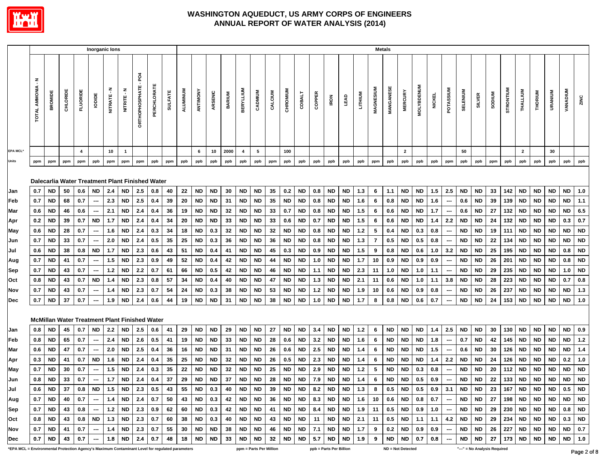

|                                                                                                        |                                       |                        |          |                |                                | Inorganic lons |                 |                                                      |             |                    |                 |                 |                        |               |                                          |                        |          |                  |                 |                         |                 |                                                                                                |            |                | <b>Metals</b> |                            |                   |               |                          |                 |                 |                              |            |                                                  |                        |                                                                                                                    |                  |                  |
|--------------------------------------------------------------------------------------------------------|---------------------------------------|------------------------|----------|----------------|--------------------------------|----------------|-----------------|------------------------------------------------------|-------------|--------------------|-----------------|-----------------|------------------------|---------------|------------------------------------------|------------------------|----------|------------------|-----------------|-------------------------|-----------------|------------------------------------------------------------------------------------------------|------------|----------------|---------------|----------------------------|-------------------|---------------|--------------------------|-----------------|-----------------|------------------------------|------------|--------------------------------------------------|------------------------|--------------------------------------------------------------------------------------------------------------------|------------------|------------------|
|                                                                                                        | $\tilde{\mathbf{r}}$<br>TOTAL AMMONIA | <b>BROMIDE</b>         | CHLORIDE | FLUORIDE       | lopipe                         | NITRATE-N      | NITRITE - N     | <b>DRTHOPHOSPHATE-PO4</b>                            | PERCHLORATE | <b>SULFATE</b>     | <b>ALUMINUM</b> | ANTIMONY        | ARSENIC                | <b>BARIUM</b> | <b>BERYLLIUM</b>                         | CADMIUM                | CALCIUM  | CHROMIUM         | <b>COBALT</b>   | COPPER                  | <b>IRON</b>     | LEAD                                                                                           | LITHIUM    | MAGNESIUM      | MANGANESE     | <b>MERCURY</b>             | <b>MOLYBDENUM</b> | <b>NICKEL</b> | POTASSIUM                | <b>SELENIUM</b> | <b>SILVER</b>   | <b>SODIUM</b>                | STRONTIUM  | THALLIUM                                         | <b>THORIUM</b>         | <b>URANIUM</b>                                                                                                     | <b>VANADIUM</b>  | ZINC             |
| <b>EPA MCL*</b>                                                                                        |                                       |                        |          | $\overline{4}$ |                                | 10             | $\mathbf{1}$    |                                                      |             |                    |                 | 6               | 10                     | 2000          | $\overline{4}$                           | 5                      |          | 100              |                 |                         |                 |                                                                                                |            |                |               | $\overline{2}$             |                   |               |                          | 50              |                 |                              |            | $\overline{2}$                                   |                        | 30                                                                                                                 |                  |                  |
| Units                                                                                                  | ppm                                   | ppm                    | ppm      | ppm            | ppb                            | ppm            | ppm             | ppm                                                  | ppb         | ppm                | ppb             | ppb             | ppb                    | ppb           | ppb                                      | ppb                    | ppm      | ppb              | ppb             | ppb                     | ppb             | ppb                                                                                            | ppb        | ppm            | ppb           | ppb                        | ppb               | ppb           | ppm                      | ppb             | ppb             | ppm                          | ppb        | ppb                                              | ppb                    | ppb                                                                                                                | ppb              | ppb              |
|                                                                                                        |                                       |                        |          |                |                                |                |                 | Dalecarlia Water Treatment Plant Finished Water      |             |                    |                 |                 |                        |               |                                          |                        |          |                  |                 |                         |                 |                                                                                                |            |                |               |                            |                   |               |                          |                 |                 |                              |            |                                                  |                        |                                                                                                                    |                  |                  |
| Jan<br>Feb                                                                                             | 0.7<br>0.7                            | <b>ND</b><br><b>ND</b> | 50       | 0.6            | ND<br>$\overline{\phantom{a}}$ | 2.4<br>2.3     | ND<br><b>ND</b> | 2.5<br>2.5                                           | 0.8         | 40                 | 22<br>20        | ND              | <b>ND</b><br><b>ND</b> | 30            | <b>ND</b><br><b>ND</b>                   | <b>ND</b><br><b>ND</b> | 35<br>35 | 0.2<br><b>ND</b> | ND<br><b>ND</b> | 0.8                     | ND<br><b>ND</b> | <b>ND</b><br><b>ND</b>                                                                         | 1.3<br>1.6 | 6<br>6         | 1.1<br>0.8    | ND<br><b>ND</b>            | ND<br><b>ND</b>   | 1.5           | 2.5<br>$\sim$            | ND<br>0.6       | ND<br><b>ND</b> | 33<br>39                     | 142<br>139 | <b>ND</b><br><b>ND</b>                           | <b>ND</b><br><b>ND</b> | ND<br>ND                                                                                                           | <b>ND</b><br>ND. | 1.0              |
| Mar                                                                                                    | 0.6                                   | <b>ND</b>              | 68<br>46 | 0.7<br>0.6     |                                | 2.1            | <b>ND</b>       | 2.4                                                  | 0.4<br>0.4  | 39<br>36           | 19              | ND<br><b>ND</b> | <b>ND</b>              | 31<br>32      | <b>ND</b>                                | <b>ND</b>              | 33       | 0.7              | ND.             | 0.8<br>0.8              | <b>ND</b>       | <b>ND</b>                                                                                      | 1.5        | 6              | 0.6           | <b>ND</b>                  | ND                | 1.6<br>1.7    |                          | 0.6             | <b>ND</b>       | 27                           | 132        | <b>ND</b>                                        | <b>ND</b>              | ND.                                                                                                                | ND.              | 1.1<br>6.5       |
|                                                                                                        | 0.2                                   | ND                     | 39       | 0.7            | ---<br><b>ND</b>               | 1.7            | <b>ND</b>       | 2.4                                                  | 0.4         | 34                 | 20              | <b>ND</b>       | ND                     | 33            | <b>ND</b>                                | <b>ND</b>              | 33       | 0.6              | ND              | 0.7                     | <b>ND</b>       | <b>ND</b>                                                                                      | 1.5        | 6              | 0.6           | ND                         | ND                | 1.4           | $\hspace{0.05cm}$<br>2.2 | ND              | ND              | -24                          | 132        | <b>ND</b>                                        | <b>ND</b>              | ND.                                                                                                                | 0.3              | 0.7              |
| Apr<br>May                                                                                             | 0.6                                   | <b>ND</b>              | 28       | 0.7            |                                | 1.6            | <b>ND</b>       | 2.4                                                  | 0.3         | 34                 | 18              | <b>ND</b>       | 0.3                    | 32            | <b>ND</b>                                | <b>ND</b>              | 32       | ND               | ND              | 0.8                     | <b>ND</b>       | <b>ND</b>                                                                                      | $1.2$      | 5              | 0.4           | <b>ND</b>                  | 0.3               | 0.8           |                          | <b>ND</b>       | <b>ND</b>       | 19                           | 111        | <b>ND</b>                                        | <b>ND</b>              | ND                                                                                                                 | <b>ND</b>        | <b>ND</b>        |
| Jun                                                                                                    | 0.7                                   | ND                     | 33       | 0.7            |                                | 2.0            | ND              | 2.4                                                  | 0.5         | 35                 | 25              | ND              | 0.3                    | 36            | <b>ND</b>                                | <b>ND</b>              | 36       | ND               | ND              | 0.8                     | ND              | ND                                                                                             | 1.3        | $\overline{7}$ | 0.5           | <b>ND</b>                  | 0.5               | 0.8           | ---                      | ND              | ND              | 22                           | 134        | <b>ND</b>                                        | <b>ND</b>              | ND                                                                                                                 | <b>ND</b>        | <b>ND</b>        |
| Jul                                                                                                    | 0.6                                   | ND                     | 38       | 0.8            | <b>ND</b>                      | 1.7            | <b>ND</b>       | 2.3                                                  | 0.6         | 43                 | 51              | <b>ND</b>       | 0.4                    | 41            | <b>ND</b>                                | <b>ND</b>              | 45       | 0.3              | ND              | 0.9                     | <b>ND</b>       | <b>ND</b>                                                                                      | 1.5        | 9              | $0.8\,$       | <b>ND</b>                  | 0.6               | 1.0           | 3.2                      | ND              | <b>ND</b>       | 25                           | 195        | <b>ND</b>                                        | <b>ND</b>              | ND                                                                                                                 | 0.8              | <b>ND</b>        |
| Aug                                                                                                    | 0.7                                   | <b>ND</b>              | 41       | 0.7            | $\overline{\phantom{a}}$       | $1.5$          | <b>ND</b>       | 2.3                                                  | 0.9         | 49                 | 52              | <b>ND</b>       | 0.4                    | 42            | <b>ND</b>                                | <b>ND</b>              | 44       | ND               | <b>ND</b>       | 1.0                     | <b>ND</b>       | <b>ND</b>                                                                                      | 1.7        | 10             | 0.9           | <b>ND</b>                  | 0.9               | 0.9           | $\hspace{0.05cm} \cdots$ | <b>ND</b>       | ND              | 26                           | 201        | <b>ND</b>                                        | <b>ND</b>              | ND                                                                                                                 | 0.8              | <b>ND</b>        |
| Sep                                                                                                    | 0.7                                   | <b>ND</b>              | 43       | 0.7            | ---                            | $1.2$          | <b>ND</b>       | 2.2                                                  | 0.7         | 61                 | 66              | <b>ND</b>       | 0.5                    | 42            | <b>ND</b>                                | <b>ND</b>              | 46       | <b>ND</b>        | ND.             | 1.1                     | <b>ND</b>       | <b>ND</b>                                                                                      | 2.3        | 11             | 1.0           | ND                         | 1.0               | 1.1           | ---                      | <b>ND</b>       | <b>ND</b>       | 29                           | 235        | <b>ND</b>                                        | <b>ND</b>              | <b>ND</b>                                                                                                          | 1.0              | <b>ND</b>        |
| Oct                                                                                                    | 0.8                                   | <b>ND</b>              | 43       | 0.7            | <b>ND</b>                      | 1.4            | <b>ND</b>       | 2.3                                                  | 0.8         | 57                 | 34              | <b>ND</b>       | 0.4                    | 40            | <b>ND</b>                                | <b>ND</b>              | 47       | ND               | <b>ND</b>       | 1.3                     | <b>ND</b>       | <b>ND</b>                                                                                      | 2.1        | 11             | 0.6           | <b>ND</b>                  | 1.0               | 1.1           | 3.8                      | <b>ND</b>       | <b>ND</b>       | 28                           | 223        | <b>ND</b>                                        | <b>ND</b>              | <b>ND</b>                                                                                                          | 0.7              | 0.8              |
| Nov                                                                                                    | 0.7                                   | <b>ND</b>              | 43       | 0.7            |                                | 1.4            | ND              | 2.3                                                  | 0.7         | 54                 | 24              | <b>ND</b>       | 0.3                    | 38            | <b>ND</b>                                | <b>ND</b>              | 53       | ND               | ND              | 1.2                     | <b>ND</b>       | ND                                                                                             | 1.9        | 10             | $0.6\,$       | <b>ND</b>                  | 0.9               | 0.8           |                          | <b>ND</b>       | ND              | 26                           | 237        | <b>ND</b>                                        | <b>ND</b>              | ND                                                                                                                 | ND               | $1.3$            |
| <b>Dec</b>                                                                                             | 0.7                                   | <b>ND</b>              | 37       | 0.7            |                                | 1.9            | <b>ND</b>       | 2.4                                                  | 0.6         | 44                 | 19              | <b>ND</b>       | <b>ND</b>              | 31            | <b>ND</b>                                | ND                     | 38       | ND               | ND              | 1.0                     | ND              | <b>ND</b>                                                                                      | 1.7        | 8              | 0.8           | <b>ND</b>                  | 0.6               | 0.7           |                          | ND              | <b>ND</b>       | 24                           | 153        | <b>ND</b>                                        | <b>ND</b>              | <b>ND</b>                                                                                                          | ND               | $1.0$            |
|                                                                                                        |                                       |                        |          |                |                                |                |                 | <b>McMillan Water Treatment Plant Finished Water</b> |             |                    |                 |                 |                        |               |                                          |                        |          |                  |                 |                         |                 |                                                                                                |            |                |               |                            |                   |               |                          |                 |                 |                              |            |                                                  |                        |                                                                                                                    |                  |                  |
| Jan                                                                                                    | 0.8                                   | <b>ND</b>              | 45       | 0.7            | <b>ND</b>                      | 2.2            | ND              | 2.5                                                  | 0.6         | 41                 | 29              | <b>ND</b>       | <b>ND</b>              | 29            | <b>ND</b>                                | <b>ND</b>              | 27       | ND.              | ND              | 3.4                     | <b>ND</b>       | <b>ND</b>                                                                                      | 1.2        | 6              | <b>ND</b>     | ND                         | <b>ND</b>         | 1.4           | 2.5                      | ND              | <b>ND</b>       | 30                           | 130        | <b>ND</b>                                        | <b>ND</b>              | <b>ND</b>                                                                                                          | ND.              | 0.9              |
| Feb                                                                                                    | 0.8                                   | <b>ND</b>              | 65       | 0.7            | $\hspace{0.05cm} \cdots$       | 2.4            | <b>ND</b>       | 2.6                                                  | 0.5         | 41                 | 19              | <b>ND</b>       | <b>ND</b>              | 33            | <b>ND</b>                                | <b>ND</b>              | 28       | 0.6              | ND.             | 3.2                     | <b>ND</b>       | <b>ND</b>                                                                                      | 1.6        | 6              | <b>ND</b>     | <b>ND</b>                  | <b>ND</b>         | 1.8           | $\sim$                   | 0.7             | <b>ND</b>       | 42                           | 145        | <b>ND</b>                                        | <b>ND</b>              | <b>ND</b>                                                                                                          | <b>ND</b>        | $1.2$            |
| Mar                                                                                                    | 0.6                                   | <b>ND</b>              | 47       | 0.7            |                                | 2.0            | ND              | 2.5                                                  | 0.4         | 36                 | 16              | <b>ND</b>       | ND                     | 31            | <b>ND</b>                                | <b>ND</b>              | 26       | 0.6              | ND              | 2.5                     | <b>ND</b>       | ND                                                                                             | 1.4        | 6              | <b>ND</b>     | ND                         | ND                | 1.5           |                          | 0.6             | <b>ND</b>       | 30                           | 126        | <b>ND</b>                                        | <b>ND</b>              | ND.                                                                                                                | <b>ND</b>        | $1.4$            |
| Apr                                                                                                    | 0.3                                   | <b>ND</b>              | 41       | 0.7            | ND                             | 1.6            | <b>ND</b>       | 2.4                                                  | 0.4         | 35                 | 25              | <b>ND</b>       | ND                     | 32            | <b>ND</b>                                | ND                     | 26       | 0.5              | ND              | 2.3                     | ND              | ND                                                                                             | 1.4        | 6              | <b>ND</b>     | ND                         | ND                | 1.4           | 2.2                      | ND              | ND              | -24                          | 126        | <b>ND</b>                                        | ND                     | ND                                                                                                                 | 0.2              | 1.0              |
| May                                                                                                    | 0.7                                   | <b>ND</b>              | 30       | 0.7            |                                | $1.5$          | <b>ND</b>       | 2.4                                                  | 0.3         | 35                 | 22              | <b>ND</b>       | <b>ND</b>              | 32            | <b>ND</b>                                | <b>ND</b>              | 25       | ND               | ND              | 2.9                     | <b>ND</b>       | <b>ND</b>                                                                                      | $1.2$      | 5              | <b>ND</b>     | <b>ND</b>                  | 0.3               | 0.8           | $\hspace{0.05cm}$        | <b>ND</b>       | ND              | 20                           | 112        | <b>ND</b>                                        | <b>ND</b>              | ND                                                                                                                 | <b>ND</b>        | <b>ND</b>        |
| Jun                                                                                                    | 0.8                                   | <b>ND</b>              | 33       | 0.7            | ---                            | 1.7            | ND              | 2.4                                                  | 0.4         | 37                 | 29              | <b>ND</b>       | <b>ND</b>              | 37            | <b>ND</b>                                | <b>ND</b>              | 28       | ND               | ND              | 7.9                     | ND              | ND                                                                                             | 1.4        | 6              | <b>ND</b>     | ND                         | 0.5               | 0.9           | $\overline{\phantom{a}}$ | ND              | ND              | 22                           | 133        | <b>ND</b>                                        | <b>ND</b>              | ND                                                                                                                 | ND               | <b>ND</b>        |
| Jul                                                                                                    |                                       | $0.6$   ND   37        |          |                |                                |                |                 | $0.8$   ND   1.5   ND   2.3   0.5   43               |             |                    |                 |                 |                        |               | 55   ND   0.3   40   ND   ND             |                        |          |                  |                 |                         |                 |                                                                                                |            |                |               |                            |                   |               |                          |                 |                 |                              |            |                                                  |                        | 39   ND   ND   8.2   ND   ND   1.3   8   0.5   ND   0.5   0.9   3.1   ND   ND   23   167   ND   ND   ND   0.5   ND |                  |                  |
| Aug                                                                                                    |                                       | $0.7$ ND 40            |          | 0.7            | $\sim$                         |                |                 | 1.4   ND   2.4   0.7                                 |             |                    |                 |                 |                        |               | $50$   43   ND   0.3   42   ND   ND   36 |                        |          |                  |                 |                         |                 | ND   ND   8.3   ND   ND   1.6   10   0.6   ND   0.8   0.7   ---   ND   ND   27   198   ND   ND |            |                |               |                            |                   |               |                          |                 |                 |                              |            |                                                  |                        | ND ND ND                                                                                                           |                  |                  |
| Sep                                                                                                    |                                       | $0.7$   ND   43        |          | 0.8            | $\sim$                         |                |                 | 1.2   ND   2.3                                       |             | $0.9$ 62 60 ND 0.3 |                 |                 |                        |               | 42   ND   ND                             |                        | 41       |                  |                 |                         |                 | ND   ND   8.4   ND   ND   1.9   11   0.5   ND                                                  |            |                |               |                            |                   |               |                          |                 |                 |                              |            | $0.9$   1.0   ---   ND   ND   29   230   ND   ND |                        |                                                                                                                    | ND 0.8 ND        |                  |
| Oct                                                                                                    |                                       | $0.8$ ND 43            |          |                |                                |                |                 | $0.8$ ND $\mid$ 1.3 ND $\mid$ 2.3 $\mid$             | 0.7         |                    |                 | $60$ 38 ND 0.3  |                        |               | 40   ND   ND                             |                        | 43       |                  |                 |                         |                 | ND   ND   11   ND   ND   2.1   11                                                              |            |                |               | $0.5$ ND                   |                   |               |                          |                 |                 |                              |            | 1.1   1.1   4.2   ND   ND   29   234   ND   ND   |                        |                                                                                                                    | ND 0.3 ND        |                  |
| Nov                                                                                                    |                                       | $0.7$ ND 41            |          | 0.7            | $\sim$                         |                |                 | 1.4 ND 2.3                                           | 0.7         |                    |                 | 55 30 ND ND     |                        | 38            | ND ND                                    |                        | 46       |                  |                 | ND   ND   5.7   ND      |                 | ND   ND   7.1   ND   ND   1.7                                                                  |            | 9              |               | $0.2$ ND                   |                   | $0.9$ 0.9     |                          |                 |                 |                              |            | $-$   ND   ND   26   227   ND   ND               |                        |                                                                                                                    | ND ND 0.7        |                  |
| Dec<br>*EPA MCL = Environmental Protection Agency's Maximum Contaminant Level for regulated parameters |                                       | 0.7   ND               | 43       | 0.7            |                                |                |                 | $1.8$ ND 2.4                                         | 0.7         | 48                 |                 | 18   ND         | ND                     | 33            | ppm = Parts Per Million                  | ND ND                  | 32       |                  |                 | ppb = Parts Per Billion |                 | ND                                                                                             | 1.9        | 9              |               | ND ND<br>ND = Not Detected | 0.7               | 0.8           | $\hspace{0.05cm} \cdots$ | ND              | ND              | "---" = No Analysis Required |            | 27   173   ND   ND                               |                        | <b>ND</b>                                                                                                          |                  | ND 1.0<br>Dage 2 |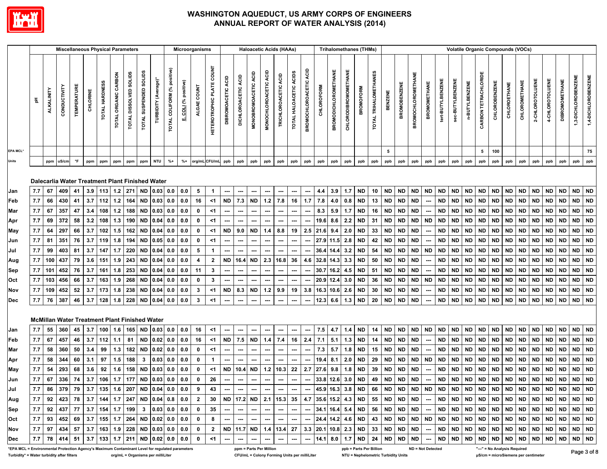

|                                                                                                 |                                                                    |            | <b>Miscellaneous Physical Parameters</b>                            |                     |          |                |                         |                                  |                        |                         |                                |                      | Microorganisms                                                           |                                  |                          |                             | <b>Haloacetic Acids (HAAs)</b> |                          |                                |                        |                                  |            |                             |                      | <b>Trihalomethanes (THMs)</b> |                         |                |                     |                           |                          |                   | <b>Volatile Organic Compounds (VOCs)</b> |                |                      |               |                              |               |                 |                 |                       |                     |                     |
|-------------------------------------------------------------------------------------------------|--------------------------------------------------------------------|------------|---------------------------------------------------------------------|---------------------|----------|----------------|-------------------------|----------------------------------|------------------------|-------------------------|--------------------------------|----------------------|--------------------------------------------------------------------------|----------------------------------|--------------------------|-----------------------------|--------------------------------|--------------------------|--------------------------------|------------------------|----------------------------------|------------|-----------------------------|----------------------|-------------------------------|-------------------------|----------------|---------------------|---------------------------|--------------------------|-------------------|------------------------------------------|----------------|----------------------|---------------|------------------------------|---------------|-----------------|-----------------|-----------------------|---------------------|---------------------|
|                                                                                                 | 동                                                                  | ALKALINITY | CONDUCTIVITY                                                        | <b>TEMPERATURE</b>  | CHLORINE | TOTAL HARDNESS | CARBON<br>TOTAL ORGANIC | <b>SOLIDS</b><br>TOTAL DISSOLVED | TOTAL SUSPENDED SOLIDS | (Average)*<br>TURBIDITY | positive)<br>TOTAL COLIFORM (% | E. COLI (% positive) | ALGAE COUNT                                                              | <b>HETEROTROPHIC PLATE COUNT</b> | DIBROMOACETIC ACID       | ąс<br><b>DICHLOROACETIC</b> | MONOBROMOACETIC ACID           | ACID<br>MONOCHLOROACETIC | ACID<br><b>TRICHLOROACETIC</b> | TOTAL HALOACETIC ACIDS | ACID<br><b>BROMOCHLOROACETIC</b> | CHLOROFORM | <b>BROMODICHLOROMETHANE</b> | CHLORODIBROMOMETHANE | <b>BROMOFORM</b>              | TOTAL TRIHALOMETHANES   | <b>BENZENE</b> | <b>BROMOBENZENE</b> | <b>BROMOCHLOROMETHANE</b> | <b>BROMOMETHANE</b>      | tert-BUTYLBENZENE | <b>sec-BUTYLBENZENE</b>                  | n-BUTYLBENZENE | CARBON TETRACHLORIDE | CHLOROBENZENE | CHLOROETHANE                 | CHLOROMETHANE | 2-CHLOROTOLUENE | 4-CHLOROTOLUENE | <b>DIBROMOMETHANE</b> | 1,3-DICHLOROBENZENE | 1,4-DICHLOROBENZENE |
| EPA MCL*                                                                                        |                                                                    |            |                                                                     |                     |          |                |                         |                                  |                        |                         |                                |                      |                                                                          |                                  |                          |                             |                                |                          |                                |                        |                                  |            |                             |                      |                               |                         | 5              |                     |                           |                          |                   |                                          |                | 5                    | 100           |                              |               |                 |                 |                       |                     | 75                  |
| Units                                                                                           |                                                                    | ppm        | uS/cm                                                               | $^\circ \mathsf{F}$ | ppm      | ppm            | ppm                     | ppm                              | ppm                    | <b>NTU</b>              | $% +$                          | $% +$                |                                                                          | org/mL CFU/mL                    | ppb                      | ppb                         | ppb                            | ppb                      | ppb                            | ppb                    | ppb                              | ppb        | ppb                         | ppb                  | ppb                           | ppb                     | ppb            | ppb                 | ppb                       | ppb                      | ppb               | ppb                                      | ppb            | ppb                  | ppb           | ppb                          | ppb           | ppb             | ppb             | ppb                   | ppb                 | ppb                 |
|                                                                                                 |                                                                    |            | Dalecarlia Water Treatment Plant Finished Water                     |                     |          |                |                         |                                  |                        |                         |                                |                      |                                                                          |                                  |                          |                             |                                |                          |                                |                        |                                  |            |                             |                      |                               |                         |                |                     |                           |                          |                   |                                          |                |                      |               |                              |               |                 |                 |                       |                     |                     |
| Jan                                                                                             | 7.7                                                                | 67         | 409                                                                 | 41                  | 3.9      | 113            | $1.2$                   | 271                              | <b>ND</b>              | 0.03                    | 0.0                            | 0.0                  | 5                                                                        | -1                               | ---                      | ---                         | ---                            | ---                      | ---                            | ---                    | ---                              | 4.4        | 3.9                         | 1.7                  | <b>ND</b>                     | 10                      | <b>ND</b>      | ND                  | <b>ND</b>                 | <b>ND</b>                | <b>ND</b>         | <b>ND</b>                                | <b>ND</b>      | <b>ND</b>            | <b>ND</b>     | <b>ND</b>                    | <b>ND</b>     | <b>ND</b>       | <b>ND</b>       | <b>ND</b>             | <b>ND</b>           | <b>ND</b>           |
| Feb                                                                                             | 7.7                                                                | 66         | 430                                                                 | 41                  | 3.7      | 112            | $1.2$                   | 164                              | <b>ND</b>              | 0.03                    | 0.0                            | 0.0                  | 16                                                                       | $<$ 1                            | <b>ND</b>                | 7.3                         | $\sf ND$                       | $1.2$                    | 7.8                            | 16                     | 1.7                              | 7.8        | 4.0                         | 0.8                  | <b>ND</b>                     | 13                      | <b>ND</b>      | ND                  | <b>ND</b>                 |                          | <b>ND</b>         | <b>ND</b>                                | <b>ND</b>      | <b>ND</b>            | <b>ND</b>     | <b>ND</b>                    | <b>ND</b>     | <b>ND</b>       | <b>ND</b>       | <b>ND</b>             | <b>ND</b>           | <b>ND</b>           |
| Mar                                                                                             | 7.7                                                                | 67         | 357                                                                 | 47                  | 3.4      | 108            | $1.2$                   | 188                              | <b>ND</b>              | 0.03                    | 0.0                            | 0.0                  | 0                                                                        | $<$ 1                            | ---                      |                             | ---                            | ---                      | ---                            |                        |                                  | 8.3        | 5.9                         | 1.7                  | <b>ND</b>                     | 16                      | <b>ND</b>      | ND                  | <b>ND</b>                 |                          | <b>ND</b>         | ND                                       | <b>ND</b>      | ND                   | <b>ND</b>     | ND                           | ND            | <b>ND</b>       | ND              | ND                    | <b>ND</b>           | <b>ND</b>           |
| Apr                                                                                             | 7.7                                                                | 69         | 372                                                                 | 58                  | 3.2      | 108            | 1.3                     | 190                              | <b>ND</b>              | 0.04                    | 0.0                            | 0.0                  | 0                                                                        | $<$ 1                            | ---                      | ---                         | $\hspace{0.05cm} \cdots$       | ---                      | ---                            | ---                    | ⊷                                | 19.6       | 8.6                         | 2.2                  | <b>ND</b>                     | 31                      | <b>ND</b>      | <b>ND</b>           | <b>ND</b>                 | <b>ND</b>                | <b>ND</b>         | <b>ND</b>                                | <b>ND</b>      | <b>ND</b>            | <b>ND</b>     | <b>ND</b>                    | <b>ND</b>     | <b>ND</b>       | <b>ND</b>       | <b>ND</b>             | <b>ND</b>           | <b>ND</b>           |
| May                                                                                             | 7.7                                                                | 64         | 297                                                                 | 66                  | 3.7      | 102            | $1.5$                   | 162                              | <b>ND</b>              | 0.04                    | 0.0                            | 0.0                  | $\mathbf 0$                                                              | $<$ 1                            | <b>ND</b>                | 9.0                         | <b>ND</b>                      | 1.4                      | 8.8                            | 19                     | 2.5                              | 21.6       | 9.4                         | 2.0                  | <b>ND</b>                     | 33                      | <b>ND</b>      | ND                  | <b>ND</b>                 |                          | <b>ND</b>         | <b>ND</b>                                | <b>ND</b>      | <b>ND</b>            | <b>ND</b>     | <b>ND</b>                    | <b>ND</b>     | <b>ND</b>       | <b>ND</b>       | <b>ND</b>             | <b>ND</b>           | <b>ND</b>           |
| Jun                                                                                             | 7.7                                                                | 81         | 351                                                                 | 76                  | 3.7      | 119            | 1.8                     | 194                              | <b>ND</b>              | 0.05                    | 0.0                            | 0.0                  | $\mathbf 0$                                                              | $<$ 1                            | ---                      |                             | $\hspace{0.05cm} \cdots$       | ---                      | ---                            | ---                    | ⊷                                | 27.9       | 11.5                        | 2.8                  | <b>ND</b>                     | 42                      | <b>ND</b>      | ND                  | <b>ND</b>                 |                          | <b>ND</b>         | <b>ND</b>                                | <b>ND</b>      | <b>ND</b>            | <b>ND</b>     | <b>ND</b>                    | ND            | <b>ND</b>       | <b>ND</b>       | <b>ND</b>             | <b>ND</b>           | $\sf ND$            |
| Jul                                                                                             | 7.7                                                                | 99         | 403                                                                 | 81                  | 3.7      | 147            | 1.7                     | 220                              | <b>ND</b>              | 0.04                    | 0.0                            | 0.0                  | 5                                                                        | $\overline{1}$                   |                          |                             | ---                            |                          |                                | ---                    |                                  | 36.4       | 14.4                        | 3.2                  | <b>ND</b>                     | 54                      | <b>ND</b>      | ND                  | <b>ND</b>                 | <b>ND</b>                | <b>ND</b>         | <b>ND</b>                                | <b>ND</b>      | <b>ND</b>            | <b>ND</b>     | <b>ND</b>                    | <b>ND</b>     | <b>ND</b>       | <b>ND</b>       | <b>ND</b>             | <b>ND</b>           | <b>ND</b>           |
| Aug                                                                                             | 7.7                                                                | 100        | 437                                                                 | 79                  | 3.6      | 151            | 1.9                     | 243                              | <b>ND</b>              | 0.04                    | 0.0                            | 0.0                  | 4                                                                        | $\mathbf{2}$                     | <b>ND</b>                | 16.4                        | <b>ND</b>                      | 2.3                      | 16.8                           | 36                     | 4.6                              | 32.8       | 14.3                        | 3.3                  | <b>ND</b>                     | 50                      | <b>ND</b>      | ND                  | <b>ND</b>                 |                          | <b>ND</b>         | <b>ND</b>                                | <b>ND</b>      | <b>ND</b>            | <b>ND</b>     | <b>ND</b>                    | <b>ND</b>     | <b>ND</b>       | <b>ND</b>       | <b>ND</b>             | <b>ND</b>           | <b>ND</b>           |
| Sep                                                                                             | 7.7                                                                | 101        | 452                                                                 | 76                  | 3.7      | 161            | 1.8                     | 253                              | <b>ND</b>              | 0.04                    | 0.0                            | 0.0                  | 11                                                                       | 3                                | ---                      | ---                         | ---                            | ---                      | ---                            | ---                    |                                  | 30.7       | 16.2                        | 4.5                  | <b>ND</b>                     | 51                      | <b>ND</b>      | <b>ND</b>           | <b>ND</b>                 |                          | ND                | <b>ND</b>                                | <b>ND</b>      | <b>ND</b>            | <b>ND</b>     | <b>ND</b>                    | ND            | <b>ND</b>       | <b>ND</b>       | <b>ND</b>             | <b>ND</b>           | <b>ND</b>           |
| Oct                                                                                             | 7.7                                                                | 103        | 456                                                                 | 66                  | 3.7      | 163            | 1.9                     | 268                              | <b>ND</b>              | 0.04                    | 0.0                            | 0.0                  | $\mathbf 0$                                                              | 3                                | ---                      |                             | ---                            | ---                      | ---                            | ---                    | ⊷                                | 20.9       | 12.4                        | 3.0                  | <b>ND</b>                     | 36                      | <b>ND</b>      | <b>ND</b>           | <b>ND</b>                 | <b>ND</b>                | <b>ND</b>         | <b>ND</b>                                | <b>ND</b>      | <b>ND</b>            | <b>ND</b>     | <b>ND</b>                    | <b>ND</b>     | <b>ND</b>       | <b>ND</b>       | <b>ND</b>             | <b>ND</b>           | <b>ND</b>           |
| Nov                                                                                             | 7.7                                                                | 109        | 452                                                                 | 52                  | 3.7      | 173            | 1.8                     | 238                              | <b>ND</b>              | 0.04                    | 0.0                            | 0.0                  | $\mathbf{3}$                                                             | $<$ 1                            | <b>ND</b>                | 8.3                         | <b>ND</b>                      | $1.2$                    | 9.9                            | 19                     | 3.8                              | 16.3       | 10.6                        | 2.6                  | <b>ND</b>                     | 30                      | <b>ND</b>      | ND                  | <b>ND</b>                 |                          | <b>ND</b>         | <b>ND</b>                                | <b>ND</b>      | ND                   | <b>ND</b>     | ND                           | ND            | <b>ND</b>       | <b>ND</b>       | <b>ND</b>             | ND.                 | <b>ND</b>           |
| Dec                                                                                             | 7.7                                                                | 76         | 387                                                                 | 46                  | 3.7      | 128            | 1.8                     | 228                              | <b>ND</b>              | 0.04                    | 0.0                            | 0.0                  | $\mathbf{3}$                                                             | $<$ 1                            | ---                      | …                           | ---                            | ---                      | ---                            | ---                    |                                  | 12.3       | 6.6                         | 1.3                  | <b>ND</b>                     | 20                      | <b>ND</b>      | <b>ND</b>           | <b>ND</b>                 |                          | <b>ND</b>         | <b>ND</b>                                | <b>ND</b>      | <b>ND</b>            | <b>ND</b>     | <b>ND</b>                    | ND            | <b>ND</b>       | <b>ND</b>       | <b>ND</b>             | <b>ND</b>           | <b>ND</b>           |
|                                                                                                 |                                                                    |            | <b>McMillan Water Treatment Plant Finished Water</b>                |                     |          |                |                         |                                  |                        |                         |                                |                      |                                                                          |                                  |                          |                             |                                |                          |                                |                        |                                  |            |                             |                      |                               |                         |                |                     |                           |                          |                   |                                          |                |                      |               |                              |               |                 |                 |                       |                     |                     |
| Jan                                                                                             | 7.7                                                                | 55         | 360                                                                 | 45                  | 3.7      | 100            | 1.6                     | 165                              | <b>ND</b>              | 0.03                    | 0.0                            | 0.0                  | 16                                                                       | $<$ 1                            | ---                      | ---                         | ---                            | ---                      | ---                            | ---                    | ⊷                                | 7.5        | 4.7                         | 1.4                  | <b>ND</b>                     | 14                      | <b>ND</b>      | <b>ND</b>           | <b>ND</b>                 | <b>ND</b>                | <b>ND</b>         | <b>ND</b>                                | <b>ND</b>      | <b>ND</b>            | <b>ND</b>     | <b>ND</b>                    | <b>ND</b>     | <b>ND</b>       | <b>ND</b>       | <b>ND</b>             | <b>ND</b>           | <b>ND</b>           |
| Feb                                                                                             | 7.7                                                                | 67         | 457                                                                 | 46                  | 3.7      | 112            | 1.1                     | 81                               | <b>ND</b>              | $0.02$ 0.0              |                                | 0.0                  | 16                                                                       | $<$ 1                            | <b>ND</b>                | 7.5                         | <b>ND</b>                      | 1.4                      | 7.4                            | 16                     | 2.4                              | 7.1        | 5.1                         | 1.3                  | <b>ND</b>                     | 14                      | <b>ND</b>      | <b>ND</b>           | <b>ND</b>                 |                          | <b>ND</b>         | <b>ND</b>                                | <b>ND</b>      | <b>ND</b>            | <b>ND</b>     | <b>ND</b>                    | <b>ND</b>     | <b>ND</b>       | <b>ND</b>       | <b>ND</b>             | <b>ND</b>           | <b>ND</b>           |
| Mar                                                                                             | 7.7                                                                | 58         | 360                                                                 | 50                  | 3.4      | 99             | 1.3                     | 182                              | <b>ND</b>              | 0.02                    | 0.0                            | 0.0                  | 0                                                                        | <1                               | ---                      | ---                         | ---                            | ---                      | ---                            | ---                    |                                  | 7.3        | 5.7                         | 1.8                  | <b>ND</b>                     | 15                      | <b>ND</b>      | ND                  | <b>ND</b>                 |                          | <b>ND</b>         | <b>ND</b>                                | <b>ND</b>      | ND                   | <b>ND</b>     | <b>ND</b>                    | <b>ND</b>     | <b>ND</b>       | <b>ND</b>       | <b>ND</b>             | <b>ND</b>           | <b>ND</b>           |
| Apr                                                                                             | 7.7                                                                | 58         | 344                                                                 | 60                  | 3.1      | 97             | $1.5$                   | 188                              | $\mathbf{3}$           | 0.03                    | 0.0                            | 0.0                  | $\bf{0}$                                                                 | 1                                |                          |                             |                                |                          |                                | ---                    |                                  | 19.4       | 8.1                         | 2.0                  | <b>ND</b>                     | 29                      | <b>ND</b>      | ND                  | <b>ND</b>                 | <b>ND</b>                | <b>ND</b>         | <b>ND</b>                                | <b>ND</b>      | <b>ND</b>            | <b>ND</b>     | <b>ND</b>                    | <b>ND</b>     | <b>ND</b>       | <b>ND</b>       | <b>ND</b>             | <b>ND</b>           | <b>ND</b>           |
| May                                                                                             | 7.7                                                                | 54         | 293                                                                 | 68                  | 3.6      | 92             | 1.6                     | 158                              | <b>ND</b>              | 0.03                    | 0.0                            | 0.0                  | $\mathbf 0$                                                              | $<$ 1                            | <b>ND</b>                | 10.4                        | ND                             |                          | $1.2$ 10.3                     | 22                     | 2.7                              | 27.6       | 9.8                         | 1.8                  | <b>ND</b>                     | 39                      | <b>ND</b>      | <b>ND</b>           | <b>ND</b>                 |                          | <b>ND</b>         | <b>ND</b>                                | <b>ND</b>      | <b>ND</b>            | <b>ND</b>     | <b>ND</b>                    | <b>ND</b>     | <b>ND</b>       | <b>ND</b>       | <b>ND</b>             | <b>ND</b>           | <b>ND</b>           |
| Jun                                                                                             | 7.7                                                                | 67         | 336                                                                 | 74                  | 3.7      | 106            | 1.7                     | 177                              | <b>ND</b>              | 0.03                    | 0.0                            | 0.0                  | $\pmb{0}$                                                                | 26                               | $\hspace{0.05cm} \cdots$ | ---                         | $\hspace{0.05cm} \cdots$       | ---                      | $\hspace{0.05cm} \cdots$       | ---                    | ---                              |            | 33.8 12.6                   | 3.0                  | <b>ND</b>                     | 49                      | <b>ND</b>      | <b>ND</b>           | <b>ND</b>                 | $\hspace{0.05cm} \cdots$ | $\sf ND$          | <b>ND</b>                                | <b>ND</b>      | <b>ND</b>            | <b>ND</b>     | <b>ND</b>                    | <b>ND</b>     | <b>ND</b>       | <b>ND</b>       | <b>ND</b>             | <b>ND</b>           | <b>ND</b>           |
| Jul                                                                                             | 7.7   86   379   79   3.7   135   1.6   207   ND  0.04   0.0   0.0 |            |                                                                     |                     |          |                |                         |                                  |                        |                         |                                |                      | 9                                                                        | 43                               |                          |                             |                                |                          | $-1 - 1 - 1$                   |                        |                                  |            |                             |                      |                               |                         |                |                     |                           |                          |                   |                                          |                |                      |               |                              |               |                 |                 |                       |                     |                     |
| Aug                                                                                             |                                                                    |            |                                                                     |                     |          |                |                         |                                  |                        |                         |                                |                      | 7.7   92   423   78   3.7   144   1.7   247   ND  0.04   0.8   0.0     2 |                                  |                          |                             |                                |                          |                                |                        |                                  |            |                             |                      |                               |                         |                |                     |                           |                          |                   |                                          |                |                      |               |                              |               |                 |                 |                       |                     |                     |
| Sep                                                                                             |                                                                    |            |                                                                     |                     |          |                |                         |                                  |                        |                         |                                |                      | $ 7.7 $ 92 437 $ 77 $ 3.7 154 1.7 199 3 0.03 0.0 0.0 0.0                 |                                  | $35$ $-$                 |                             |                                |                          |                                |                        |                                  |            |                             |                      |                               |                         |                |                     |                           |                          |                   |                                          |                |                      |               |                              |               |                 |                 |                       |                     |                     |
| Oct                                                                                             | $ 7.7 $ 93 452 69 3.7 155 1.7 264 ND 0.02 0.0 0.0                  |            |                                                                     |                     |          |                |                         |                                  |                        |                         |                                |                      | $\mathbf{0}$                                                             |                                  |                          |                             |                                |                          |                                |                        |                                  |            |                             |                      |                               |                         |                |                     |                           |                          |                   |                                          |                |                      |               |                              |               |                 |                 |                       |                     |                     |
| Nov                                                                                             | 7.7   97  434   57   3.7   163   1.9   228   ND  0.03   0.0   0.0  |            |                                                                     |                     |          |                |                         |                                  |                        |                         |                                |                      | $\mathbf{0}$                                                             |                                  |                          |                             |                                |                          |                                |                        |                                  |            |                             |                      |                               |                         |                |                     |                           |                          |                   |                                          |                |                      |               |                              |               |                 |                 |                       |                     |                     |
| <b>Dec</b>                                                                                      |                                                                    |            | 7.7   78   414   51   3.7   133   1.7   211   ND   0.02   0.0   0.0 |                     |          |                |                         |                                  |                        |                         |                                |                      | $\mathbf{0}$                                                             | $<$ 1                            | $\sim$                   | $---$                       | $\sim$                         |                          | $\sim$ $\sim$                  | $\sim$                 |                                  |            |                             |                      |                               |                         |                |                     |                           |                          |                   |                                          |                |                      |               |                              |               |                 |                 |                       |                     |                     |
| *EPA MCL = Environmental Protection Agency's Maximum Contaminant Level for regulated parameters |                                                                    |            |                                                                     |                     |          |                |                         |                                  |                        |                         |                                |                      |                                                                          |                                  |                          |                             | ppm = Parts Per Million        |                          |                                |                        |                                  |            |                             |                      |                               | ppb = Parts Per Billion |                |                     |                           | <b>ND = Not Detected</b> |                   |                                          |                |                      |               | "---" = No Analysis Required |               |                 |                 |                       |                     |                     |

Page 3 of 8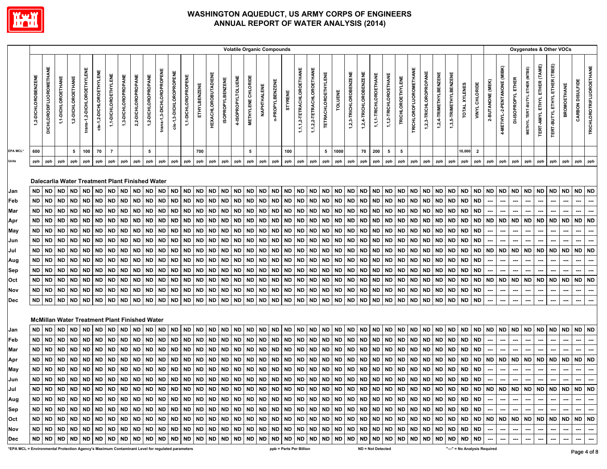

|                                                                                                 |                     |                         |                    |                    |                            |                          |                      |                                                      |                     |                     |                           |                         |                     |              |                            |                         |                    |                    |             | <b>Volatile Organic Compounds</b> |           |                           |                           |                            |           |                        |                        |                       |                       |                          |                        |                        |                        |                        |               |                              |                  |                             |                    | Oxygenates & Other VOCs        |                                     |                                  |                          |                          |                                 |
|-------------------------------------------------------------------------------------------------|---------------------|-------------------------|--------------------|--------------------|----------------------------|--------------------------|----------------------|------------------------------------------------------|---------------------|---------------------|---------------------------|-------------------------|---------------------|--------------|----------------------------|-------------------------|--------------------|--------------------|-------------|-----------------------------------|-----------|---------------------------|---------------------------|----------------------------|-----------|------------------------|------------------------|-----------------------|-----------------------|--------------------------|------------------------|------------------------|------------------------|------------------------|---------------|------------------------------|------------------|-----------------------------|--------------------|--------------------------------|-------------------------------------|----------------------------------|--------------------------|--------------------------|---------------------------------|
|                                                                                                 | 1,2-DICHLOROBENZENE | DICHLORODIFLUOROMETHANE | 1,1-DICHLOROETHANE | 1,2-DICHLOROETHANE | trans-1,2-DICHLOROETHYLENE | cis-1,2-DICHLOROETHYLENE | 1,1-DICHLOROETHYLENE | 1,3-DICHLOROPROPANE                                  | 2,2-DICHLOROPROPANE | 1,2-DICHLOROPROPANE | trans-1,3-DICHLOROPROPENE | cis-1,3-DICHLOROPROPENE | 1,1-DICHLOROPROPENE | ETHYLBENZENE | <b>HEXACHLOROBUTADIENE</b> | <b>ISOPROPYLBENZENE</b> | 4-ISOPROPYLTOLUENE | METHYLENE CHLORIDE | NAPHTHALENE | n-PROPYLBENZENE                   | STYRENE   | 1,1,1,2-TETRACHLOROETHANE | 1,1,2,2-TETRACHLOROETHANE | <b>TETRACHLOROETHYLENE</b> | TOLUENE   | 1,2,3-TRICHLOROBENZENE | 1,2,4-TRICHLOROBENZENE | 1,1,1-TRICHLOROETHANE | 1,1,2-TRICHLOROETHANE | <b>TRICHLOROETHYLENE</b> | TRICHLOROFLUOROMETHANE | 1,2,3-TRICHLOROPROPANE | 1,2,4-TRIMETHYLBENZENE | 1,3,5-TRIMETHYLBENZENE | TOTAL XYLENES | VINYL CHLORIDE               | 2-BUTANONE (MEK) | 4-METHYL-2-PENTANONE (MIBK) | DI-ISOPROPYL ETHER | METHYL TERT-BUTYL ETHER (MTBE) | <b>TERT-AMYL ETHYL ETHER (TAME)</b> | ETHER (TBEE)<br>TERT-BUTYL ETHYL | <b>BROMOETHANE</b>       | CARBON DISULFIDE         | <b>TRICHLOROTRIFLUOROETHANE</b> |
| EPA MCL'                                                                                        | 600                 |                         |                    | 5                  | 100                        | 70                       | $\overline{7}$       |                                                      |                     | 5                   |                           |                         |                     | 700          |                            |                         |                    | 5                  |             |                                   | 100       |                           |                           | 5                          | 1000      |                        | 70                     | 200                   | 5                     | 5                        |                        |                        |                        |                        | 10,000        | $\overline{2}$               |                  |                             |                    |                                |                                     |                                  |                          |                          |                                 |
| <b>Units</b>                                                                                    | ppb                 | ppb                     | ppb                | ppb                | ppb                        | ppb                      | ppb                  | ppb                                                  | ppb                 | ppb                 | ppb                       | ppb                     | ppb                 | ppb          | ppb                        | ppb                     | ppb                | ppb                | ppb         | ppb                               | ppb       | ppb                       | ppb                       | ppb                        | ppb       | ppb                    | ppb                    | ppb                   | ppb                   | ppb                      | ppb                    | ppb                    | ppb                    | ppb                    | ppb           | ppb                          | ppb              | ppb                         | ppb                | ppb                            | ppb                                 | ppb                              | ppb                      | ppb                      | ppb                             |
|                                                                                                 |                     |                         |                    |                    |                            |                          |                      | Dalecarlia Water Treatment Plant Finished Water      |                     |                     |                           |                         |                     |              |                            |                         |                    |                    |             |                                   |           |                           |                           |                            |           |                        |                        |                       |                       |                          |                        |                        |                        |                        |               |                              |                  |                             |                    |                                |                                     |                                  |                          |                          |                                 |
| Jan                                                                                             | ND.                 | <b>ND</b>               | <b>ND</b>          | <b>ND</b>          | <b>ND</b>                  | <b>ND</b>                | <b>ND</b>            | <b>ND</b>                                            | <b>ND</b>           | <b>ND</b>           | <b>ND</b>                 | <b>ND</b>               | <b>ND</b>           | <b>ND</b>    | <b>ND</b>                  | <b>ND</b>               | <b>ND</b>          | <b>ND</b>          | <b>ND</b>   | <b>ND</b>                         | <b>ND</b> | <b>ND</b>                 | <b>ND</b>                 | <b>ND</b>                  | <b>ND</b> | <b>ND</b>              | <b>ND</b>              | <b>ND</b>             | <b>ND</b>             | <b>ND</b>                | ND                     | <b>ND</b>              | <b>ND</b>              | <b>ND</b>              | <b>ND</b>     | <b>ND</b>                    | ND               | <b>ND</b>                   | <b>ND</b>          | <b>ND</b>                      | ND                                  | <b>ND</b>                        | <b>ND</b>                | <b>ND</b>                | <b>ND</b>                       |
| Feb                                                                                             | ND                  | <b>ND</b>               | <b>ND</b>          | <b>ND</b>          | ND                         | <b>ND</b>                | <b>ND</b>            | <b>ND</b>                                            | <b>ND</b>           | <b>ND</b>           | <b>ND</b>                 | <b>ND</b>               | <b>ND</b>           | <b>ND</b>    | <b>ND</b>                  | <b>ND</b>               | ND                 | <b>ND</b>          | <b>ND</b>   | <b>ND</b>                         | <b>ND</b> | <b>ND</b>                 | <b>ND</b>                 | <b>ND</b>                  | <b>ND</b> | <b>ND</b>              | ND                     | <b>ND</b>             | <b>ND</b>             | <b>ND</b>                | <b>ND</b>              | <b>ND</b>              | <b>ND</b>              | <b>ND</b>              | <b>ND</b>     | <b>ND</b>                    |                  | ---                         | ---                | ---                            | ---                                 | ---                              | ---                      | ---                      | ---                             |
| Mar                                                                                             | <b>ND</b>           | ND                      | <b>ND</b>          | <b>ND</b>          | ND                         | <b>ND</b>                | <b>ND</b>            | <b>ND</b>                                            | <b>ND</b>           | <b>ND</b>           | <b>ND</b>                 | <b>ND</b>               | <b>ND</b>           | <b>ND</b>    | <b>ND</b>                  | <b>ND</b>               | ND                 | <b>ND</b>          | <b>ND</b>   | <b>ND</b>                         | <b>ND</b> | <b>ND</b>                 | <b>ND</b>                 | <b>ND</b>                  | <b>ND</b> | <b>ND</b>              | <b>ND</b>              | <b>ND</b>             | <b>ND</b>             | <b>ND</b>                | <b>ND</b>              | <b>ND</b>              | <b>ND</b>              | <b>ND</b>              | <b>ND</b>     | <b>ND</b>                    |                  |                             |                    |                                |                                     |                                  |                          | ---                      |                                 |
| Apr                                                                                             | ND                  | <b>ND</b>               | <b>ND</b>          | <b>ND</b>          | ND                         | <b>ND</b>                | <b>ND</b>            | <b>ND</b>                                            | <b>ND</b>           | ND                  | <b>ND</b>                 | ND                      | ND                  | <b>ND</b>    | <b>ND</b>                  | <b>ND</b>               | ND                 | <b>ND</b>          | <b>ND</b>   | <b>ND</b>                         | <b>ND</b> | ND                        | <b>ND</b>                 | <b>ND</b>                  | <b>ND</b> | <b>ND</b>              | <b>ND</b>              | <b>ND</b>             | <b>ND</b>             | <b>ND</b>                | <b>ND</b>              | ND                     | <b>ND</b>              | <b>ND</b>              | <b>ND</b>     | <b>ND</b>                    | <b>ND</b>        | <b>ND</b>                   | <b>ND</b>          | <b>ND</b>                      | <b>ND</b>                           | ND                               | <b>ND</b>                | <b>ND</b>                | <b>ND</b>                       |
| May                                                                                             | ND                  | <b>ND</b>               | <b>ND</b>          | <b>ND</b>          | ND                         | <b>ND</b>                | ND                   | <b>ND</b>                                            | ND                  | ND                  | <b>ND</b>                 | <b>ND</b>               | ND                  | <b>ND</b>    | <b>ND</b>                  | <b>ND</b>               | ND                 | <b>ND</b>          | <b>ND</b>   | ND                                | ND        | ND                        | <b>ND</b>                 | ND                         | <b>ND</b> | <b>ND</b>              | ND                     | ND.                   | <b>ND</b>             | <b>ND</b>                | <b>ND</b>              | ND                     | ND                     | <b>ND</b>              | <b>ND</b>     | <b>ND</b>                    |                  |                             |                    |                                |                                     |                                  |                          |                          | ┅                               |
| Jun                                                                                             | ND                  | <b>ND</b>               | ND                 | <b>ND</b>          | ND                         | <b>ND</b>                | ND                   | <b>ND</b>                                            | <b>ND</b>           | ND                  | <b>ND</b>                 | ND                      | ND                  | <b>ND</b>    | ND                         | <b>ND</b>               | ND                 | <b>ND</b>          | <b>ND</b>   | <b>ND</b>                         | ND        | ND                        | <b>ND</b>                 | ND                         | <b>ND</b> | <b>ND</b>              | ND                     | ND                    | <b>ND</b>             | <b>ND</b>                | <b>ND</b>              | ND                     | ND                     | <b>ND</b>              | <b>ND</b>     | <b>ND</b>                    |                  |                             |                    |                                |                                     |                                  |                          |                          |                                 |
| Jul                                                                                             | ND                  | ND                      | <b>ND</b>          | <b>ND</b>          | ND                         | ND                       | ND                   | ND                                                   | <b>ND</b>           | ND                  | <b>ND</b>                 | ND                      | ND                  | <b>ND</b>    | ND                         | ND                      | ND                 | ND                 | <b>ND</b>   | ND                                | ND        | ND                        | ND                        | ND                         | <b>ND</b> | <b>ND</b>              | ND                     | ND                    | <b>ND</b>             | ND                       | <b>ND</b>              | ND                     | ND                     | <b>ND</b>              | <b>ND</b>     | ND                           | <b>ND</b>        | ND                          | ND                 | <b>ND</b>                      | ND                                  | ND                               | ND                       | <b>ND</b>                | <b>ND</b>                       |
| Aug                                                                                             | ND                  | ND                      | <b>ND</b>          | <b>ND</b>          | ND                         | ND                       | <b>ND</b>            | <b>ND</b>                                            | <b>ND</b>           | <b>ND</b>           | <b>ND</b>                 | <b>ND</b>               | ND                  | <b>ND</b>    | <b>ND</b>                  | <b>ND</b>               | ND                 | <b>ND</b>          | <b>ND</b>   | <b>ND</b>                         | <b>ND</b> | ND                        | <b>ND</b>                 | <b>ND</b>                  | <b>ND</b> | <b>ND</b>              | ND                     | ND                    | <b>ND</b>             | <b>ND</b>                | <b>ND</b>              | ND                     | ND                     | <b>ND</b>              | <b>ND</b>     | <b>ND</b>                    | ---              | ---                         |                    |                                | ---                                 | ---                              | ---                      | ---                      | …                               |
| Sep                                                                                             | ND                  | ND                      | <b>ND</b>          | <b>ND</b>          | ND                         | <b>ND</b>                | <b>ND</b>            | <b>ND</b>                                            | <b>ND</b>           | <b>ND</b>           | <b>ND</b>                 | <b>ND</b>               | <b>ND</b>           | <b>ND</b>    | ND.                        | <b>ND</b>               | ND                 | <b>ND</b>          | <b>ND</b>   | <b>ND</b>                         | <b>ND</b> | ND                        | <b>ND</b>                 | <b>ND</b>                  | <b>ND</b> | <b>ND</b>              | <b>ND</b>              | <b>ND</b>             | <b>ND</b>             | <b>ND</b>                | <b>ND</b>              | ND                     | <b>ND</b>              | <b>ND</b>              | <b>ND</b>     | <b>ND</b>                    |                  |                             |                    |                                |                                     | ---                              |                          | ---                      | ---                             |
| Oct                                                                                             | ND                  | ND                      | <b>ND</b>          | <b>ND</b>          | ND                         | <b>ND</b>                | ND                   | <b>ND</b>                                            | ND                  | <b>ND</b>           | <b>ND</b>                 | <b>ND</b>               | ND                  | <b>ND</b>    | <b>ND</b>                  | <b>ND</b>               | ND                 | <b>ND</b>          | <b>ND</b>   | ND                                | <b>ND</b> | <b>ND</b>                 | <b>ND</b>                 | <b>ND</b>                  | ND        | <b>ND</b>              | <b>ND</b>              | <b>ND</b>             | <b>ND</b>             | <b>ND</b>                | <b>ND</b>              | ND                     | <b>ND</b>              | <b>ND</b>              | <b>ND</b>     | <b>ND</b>                    | <b>ND</b>        | <b>ND</b>                   | <b>ND</b>          | <b>ND</b>                      | ND                                  | ND                               | <b>ND</b>                | <b>ND</b>                | <b>ND</b>                       |
| Nov                                                                                             | ND                  | <b>ND</b>               | <b>ND</b>          | <b>ND</b>          | ND                         | <b>ND</b>                | ND                   | <b>ND</b>                                            | <b>ND</b>           | <b>ND</b>           | <b>ND</b>                 | <b>ND</b>               | <b>ND</b>           | <b>ND</b>    | <b>ND</b>                  | <b>ND</b>               | ND                 | <b>ND</b>          | <b>ND</b>   | <b>ND</b>                         | <b>ND</b> | ND                        | <b>ND</b>                 | <b>ND</b>                  | <b>ND</b> | <b>ND</b>              | ND                     | <b>ND</b>             | <b>ND</b>             | <b>ND</b>                | <b>ND</b>              | ND                     | <b>ND</b>              | <b>ND</b>              | <b>ND</b>     | <b>ND</b>                    |                  |                             |                    |                                |                                     |                                  |                          |                          | ---                             |
| <b>Dec</b>                                                                                      | ND                  | <b>ND</b>               | <b>ND</b>          | <b>ND</b>          | <b>ND</b>                  | <b>ND</b>                | <b>ND</b>            | <b>ND</b>                                            | <b>ND</b>           | <b>ND</b>           | <b>ND</b>                 | <b>ND</b>               | <b>ND</b>           | <b>ND</b>    | <b>ND</b>                  | <b>ND</b>               | ND                 | <b>ND</b>          | <b>ND</b>   | <b>ND</b>                         | <b>ND</b> | <b>ND</b>                 | <b>ND</b>                 | <b>ND</b>                  | <b>ND</b> | <b>ND</b>              | <b>ND</b>              | <b>ND</b>             | <b>ND</b>             | <b>ND</b>                | <b>ND</b>              | ND                     | <b>ND</b>              | <b>ND</b>              | <b>ND</b>     | <b>ND</b>                    |                  |                             |                    |                                |                                     | ---                              |                          |                          |                                 |
|                                                                                                 |                     |                         |                    |                    |                            |                          |                      | <b>McMillan Water Treatment Plant Finished Water</b> |                     |                     |                           |                         |                     |              |                            |                         |                    |                    |             |                                   |           |                           |                           |                            |           |                        |                        |                       |                       |                          |                        |                        |                        |                        |               |                              |                  |                             |                    |                                |                                     |                                  |                          |                          |                                 |
| Jan                                                                                             | ND.                 | ND                      | <b>ND</b>          | <b>ND</b>          | ND                         | ND                       | <b>ND</b>            | <b>ND</b>                                            | <b>ND</b>           | <b>ND</b>           | <b>ND</b>                 | <b>ND</b>               | <b>ND</b>           | <b>ND</b>    | <b>ND</b>                  | <b>ND</b>               | ND                 | <b>ND</b>          | <b>ND</b>   | <b>ND</b>                         | <b>ND</b> | <b>ND</b>                 | <b>ND</b>                 | <b>ND</b>                  | <b>ND</b> | <b>ND</b>              | <b>ND</b>              | <b>ND</b>             | <b>ND</b>             | <b>ND</b>                | <b>ND</b>              | <b>ND</b>              | <b>ND</b>              | <b>ND</b>              | <b>ND</b>     | <b>ND</b>                    | <b>ND</b>        | <b>ND</b>                   | <b>ND</b>          | <b>ND</b>                      | <b>ND</b>                           | <b>ND</b>                        | <b>ND</b>                | <b>ND</b>                | <b>ND</b>                       |
| Feb                                                                                             | <b>ND</b>           | ND                      | <b>ND</b>          | <b>ND</b>          | ND                         | <b>ND</b>                | <b>ND</b>            | <b>ND</b>                                            | <b>ND</b>           | <b>ND</b>           | <b>ND</b>                 | <b>ND</b>               | <b>ND</b>           | <b>ND</b>    | <b>ND</b>                  | <b>ND</b>               | ND                 | <b>ND</b>          | <b>ND</b>   | <b>ND</b>                         | <b>ND</b> | <b>ND</b>                 | <b>ND</b>                 | <b>ND</b>                  | <b>ND</b> | <b>ND</b>              | <b>ND</b>              | <b>ND</b>             | <b>ND</b>             | <b>ND</b>                | <b>ND</b>              | <b>ND</b>              | <b>ND</b>              | <b>ND</b>              | <b>ND</b>     | <b>ND</b>                    | ---              | ---                         | ---                | ---                            | ---                                 | ---                              | ---                      | ---                      | ---                             |
| Mar                                                                                             | ND                  | ND                      | <b>ND</b>          | <b>ND</b>          | ND                         | <b>ND</b>                | ND                   | <b>ND</b>                                            | <b>ND</b>           | <b>ND</b>           | <b>ND</b>                 | <b>ND</b>               | <b>ND</b>           | <b>ND</b>    | <b>ND</b>                  | <b>ND</b>               | ND                 | <b>ND</b>          | <b>ND</b>   | <b>ND</b>                         | ND        | ND                        | <b>ND</b>                 | <b>ND</b>                  | <b>ND</b> | <b>ND</b>              | ND                     | <b>ND</b>             | <b>ND</b>             | <b>ND</b>                | <b>ND</b>              | ND                     | <b>ND</b>              | <b>ND</b>              | <b>ND</b>     | <b>ND</b>                    |                  |                             |                    |                                |                                     |                                  |                          |                          |                                 |
| Apr                                                                                             | ND                  | ND                      | ND                 | <b>ND</b>          | ND                         | <b>ND</b>                | ND.                  | ND                                                   | <b>ND</b>           | ND                  | <b>ND</b>                 | ND                      | ND                  | <b>ND</b>    | ND                         | ND                      | ND                 | ND                 | ND          | ND                                | ND        | ND                        | ND                        | ND                         | ND        | ND                     | ND                     | <b>ND</b>             | <b>ND</b>             | ND                       | <b>ND</b>              | ND                     | ND                     | <b>ND</b>              | <b>ND</b>     | ND                           | ND               | ND                          | ND                 | ND                             | <b>ND</b>                           | ND                               | ND                       | <b>ND</b>                | <b>ND</b>                       |
| May                                                                                             | ND                  | <b>ND</b>               | <b>ND</b>          | <b>ND</b>          | ND                         | <b>ND</b>                | <b>ND</b>            | <b>ND</b>                                            | <b>ND</b>           | ND                  | <b>ND</b>                 | ND                      | ND                  | <b>ND</b>    | <b>ND</b>                  | <b>ND</b>               | ND                 | <b>ND</b>          | <b>ND</b>   | <b>ND</b>                         | <b>ND</b> | <b>ND</b>                 | <b>ND</b>                 | <b>ND</b>                  | <b>ND</b> | <b>ND</b>              | <b>ND</b>              | <b>ND</b>             | <b>ND</b>             | <b>ND</b>                | <b>ND</b>              | ND                     | ND                     | <b>ND</b>              | <b>ND</b>     | <b>ND</b>                    | ---              | ---                         | ---                | ---                            | ---                                 | ---                              |                          | ---                      | ---                             |
| Jun                                                                                             | ND.                 | <b>ND</b>               | <b>ND</b>          | <b>ND</b>          | <b>ND</b>                  | <b>ND</b>                | <b>ND</b>            | <b>ND</b>                                            | <b>ND</b>           | <b>ND</b>           | <b>ND</b>                 | <b>ND</b>               | <b>ND</b>           | <b>ND</b>    | <b>ND</b>                  | <b>ND</b>               | <b>ND</b>          | <b>ND</b>          | <b>ND</b>   | <b>ND</b>                         | <b>ND</b> | <b>ND</b>                 | <b>ND</b>                 | <b>ND</b>                  | <b>ND</b> | <b>ND</b>              | <b>ND</b>              | <b>ND</b>             | ND                    | <b>ND</b>                | ND                     | <b>ND</b>              | <b>ND</b>              | <b>ND</b>              | <b>ND</b>     | <b>ND</b>                    | ---              | ---                         | ---                |                                | ---                                 | ---                              |                          | ---                      | ---                             |
| Jul                                                                                             |                     |                         |                    |                    |                            |                          |                      |                                                      |                     |                     |                           |                         |                     |              |                            |                         |                    |                    |             |                                   |           |                           |                           |                            |           |                        |                        |                       |                       |                          |                        |                        |                        |                        |               |                              |                  |                             |                    |                                |                                     |                                  |                          |                          |                                 |
| Aug                                                                                             |                     |                         |                    |                    |                            |                          |                      |                                                      |                     |                     |                           |                         |                     |              |                            |                         |                    |                    |             |                                   |           |                           |                           |                            |           |                        |                        |                       |                       |                          |                        |                        |                        |                        |               |                              |                  | $\sim$                      | $\sim$             | $\sim$                         | $\sim$                              | $\sim$                           | $\overline{\phantom{a}}$ | $\overline{\phantom{a}}$ | $\overline{\phantom{a}}$        |
| Sep                                                                                             |                     |                         |                    |                    |                            |                          |                      |                                                      |                     |                     |                           |                         |                     |              |                            |                         |                    |                    |             |                                   |           |                           |                           |                            |           |                        |                        |                       |                       |                          |                        |                        |                        |                        |               |                              |                  |                             | $\sim$             | --- 1                          |                                     | $\sim$ $\sim$ $\sim$ $\sim$      | I                        | $\sim$                   | $\sim$                          |
| Oct                                                                                             |                     |                         |                    |                    |                            |                          |                      |                                                      |                     |                     |                           |                         |                     |              |                            |                         |                    |                    |             |                                   |           |                           |                           |                            |           |                        |                        |                       |                       |                          |                        |                        |                        |                        |               |                              |                  |                             |                    |                                |                                     |                                  |                          |                          |                                 |
| Nov                                                                                             |                     |                         |                    |                    |                            |                          |                      |                                                      |                     |                     |                           |                         |                     |              |                            |                         |                    |                    |             |                                   |           |                           |                           |                            |           |                        |                        |                       |                       |                          |                        |                        |                        |                        |               |                              |                  | $\overline{\phantom{a}}$    |                    |                                |                                     | $\overline{\phantom{a}}$         | $\hspace{0.05cm} \ldots$ | $\sim$                   | $\cdots$                        |
| Dec                                                                                             | <b>ND</b>           |                         |                    |                    |                            |                          |                      |                                                      |                     |                     |                           |                         |                     |              |                            |                         |                    |                    |             |                                   |           |                           |                           |                            |           |                        |                        |                       |                       |                          |                        |                        |                        |                        |               |                              | $\sim$           | $\cdots$                    |                    | ---                            | $\cdots$                            | $\sim$                           | $\hspace{0.05cm} \cdots$ | $\sim$                   | $\overline{\phantom{a}}$        |
| *EPA MCL = Environmental Protection Agency's Maximum Contaminant Level for regulated parameters |                     |                         |                    |                    |                            |                          |                      |                                                      |                     |                     |                           |                         |                     |              |                            |                         |                    |                    |             |                                   |           | ppb = Parts Per Billion   |                           |                            |           |                        |                        | ND = Not Detected     |                       |                          |                        |                        |                        |                        |               | "---" = No Analysis Required |                  |                             |                    |                                |                                     |                                  |                          | Dogo A of C              |                                 |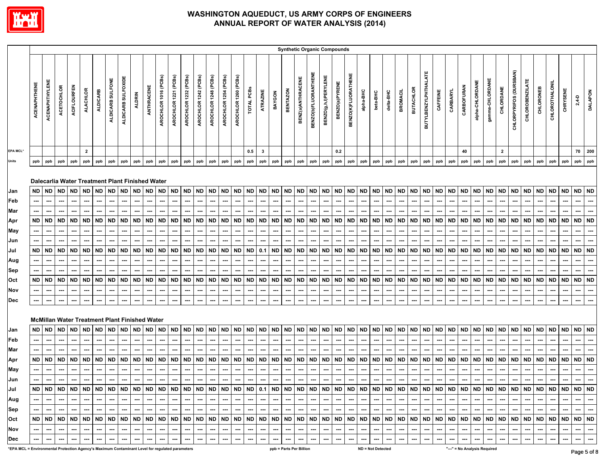

|                                                                                                 |                     |                       |                          |                          |                          |                                                              |                  |                          |                          |            |                      |                          |                          |                          |                          |                          |                          |                          |                          |                          |                      |                         |                             | <b>Synthetic Organic Compounds</b> |                          |                          |           |                          |           |                          |                                                                     |                          |           |                                                                                                     |               |                 |                          |              |                          |                          |                          |                          |           |                          |                |
|-------------------------------------------------------------------------------------------------|---------------------|-----------------------|--------------------------|--------------------------|--------------------------|--------------------------------------------------------------|------------------|--------------------------|--------------------------|------------|----------------------|--------------------------|--------------------------|--------------------------|--------------------------|--------------------------|--------------------------|--------------------------|--------------------------|--------------------------|----------------------|-------------------------|-----------------------------|------------------------------------|--------------------------|--------------------------|-----------|--------------------------|-----------|--------------------------|---------------------------------------------------------------------|--------------------------|-----------|-----------------------------------------------------------------------------------------------------|---------------|-----------------|--------------------------|--------------|--------------------------|--------------------------|--------------------------|--------------------------|-----------|--------------------------|----------------|
|                                                                                                 | <b>ACENAPHTHENE</b> | <b>ACENAPHTHYLENE</b> | <b>ACETOCHLOR</b>        | <b>ACIFLOURFEN</b>       | <b>ALACHLOR</b>          | <b>ALDICARB</b>                                              | ALDICARB SULFONE | ALDICARB SULFOXIDE       | <b>ALDRIN</b>            | ANTHRACENE | AROCHLOR 1016 (PCBs) | AROCHLOR 1221 (PCBs)     | AROCHLOR 1232 (PCBs)     | AROCHLOR 1242 (PCBs)     | AROCHLOR 1248 (PCBs)     | AROCHLOR 1254 (PCBs)     | AROCHLOR 1260 (PCBs)     | TOTAL PCBS               | ATRAZINE                 | BAYGON                   | <b>BENTAZON</b>      | BENZ(a)ANTHRACENE       | <b>BENZO(b)FLUORANTHENE</b> | BENZO(g,h,l)PERYLENE               | BENZO(a)PYRENE           | BENZO(K)FLUORATHENE      | alpha-BHC | beta-BHC                 | delta-BHC | <b>BROMACIL</b>          | <b>BUTACHLOR</b>                                                    | BUTYLBENZYLPHTHALATE     | CAFFEINE  | CARBARYL                                                                                            | CARBOFURAN    | alpha-CHLORDANE | gamma-CHLORDANE          | CHLORDANE    | CHLORPYRIFOS (DURSBAN)   | <b>CHLOROBENZILATE</b>   | CHLORONEB                | CHLOROTHALONIL           | CHRYSENE  | $2,4 - D$                | <b>DALAPON</b> |
| EPA MCL*                                                                                        |                     |                       |                          |                          | $\mathbf{2}$             |                                                              |                  |                          |                          |            |                      |                          |                          |                          |                          |                          |                          | 0.5                      | $\mathbf{3}$             |                          |                      |                         |                             |                                    | 0.2                      |                          |           |                          |           |                          |                                                                     |                          |           |                                                                                                     | 40            |                 |                          | $\mathbf{2}$ |                          |                          |                          |                          |           | 70                       | 200            |
| Units                                                                                           | ppb                 | ppb                   | ppb                      | ppb                      | ppb                      | ppb                                                          | ppb              | ppb                      | ppb                      | ppb        | ppb                  | ppb                      | ppb                      | ppb                      | ppb                      | ppb                      | ppb                      | ppb                      | ppb                      | ppb                      | ppb                  | ppb                     | ppb                         | ppb                                | ppb                      | ppb                      | ppb       | ppb                      | ppb       | ppb                      | ppb                                                                 | ppb                      | ppb       | ppb                                                                                                 | ppb           | ppb             | ppb                      | ppb          | ppb                      | ppb                      | ppb                      | ppb                      | ppb       | ppb                      | ppb            |
| Jan                                                                                             | ND.                 | <b>ND</b>             | <b>ND</b>                | <b>ND</b>                | <b>ND</b>                | Dalecarlia Water Treatment Plant Finished Water<br><b>ND</b> | <b>ND</b>        | <b>ND</b>                | <b>ND</b>                | <b>ND</b>  | <b>ND</b>            | <b>ND</b>                | <b>ND</b>                | <b>ND</b>                | <b>ND</b>                | <b>ND</b>                | <b>ND</b>                | <b>ND</b>                | <b>ND</b>                | <b>ND</b>                | <b>ND</b>            | <b>ND</b>               | <b>ND</b>                   | <b>ND</b>                          | <b>ND</b>                | <b>ND</b>                | <b>ND</b> | <b>ND</b>                | <b>ND</b> | <b>ND</b>                | <b>ND</b>                                                           | <b>ND</b>                | <b>ND</b> | <b>ND</b>                                                                                           | <b>ND</b>     | <b>ND</b>       | <b>ND</b>                | ND           | <b>ND</b>                | <b>ND</b>                | <b>ND</b>                | ND                       | ND        | <b>ND</b>                | <b>ND</b>      |
| Feb                                                                                             |                     | ---                   | ---                      | ---                      |                          | ---                                                          | ---              | ---                      | ---                      | ---        | ---                  | ---                      | ---                      | ---                      | ---                      | ---                      | ---                      | ---                      | ---                      | ---                      | ---                  | ---                     | ---                         | ---                                | ---                      | ---                      | ---       | ---                      | ---       | ⊷                        | ---                                                                 | ---                      | ---       | ---                                                                                                 | ---           | ---             | ---                      | ---          | ---                      | ---                      | ---                      | ---                      | ---       | ---                      | ---            |
| Mar                                                                                             | ---                 | ---                   |                          | ---                      | ---                      |                                                              |                  |                          | ---                      | ---        | ---                  | ---                      |                          | ---                      | ---                      |                          |                          |                          | ---                      | ---                      |                      |                         |                             | ---                                |                          | ---                      |           |                          | ---       | ---                      | ---                                                                 |                          |           | ---                                                                                                 | ---           | ---             |                          |              | ---                      | ---                      |                          |                          |           | ---                      |                |
| Apr                                                                                             | <b>ND</b>           | <b>ND</b>             | <b>ND</b>                | ND                       | <b>ND</b>                | <b>ND</b>                                                    | <b>ND</b>        | <b>ND</b>                | ND                       | <b>ND</b>  | <b>ND</b>            | <b>ND</b>                | <b>ND</b>                | ND                       | <b>ND</b>                | <b>ND</b>                | <b>ND</b>                | <b>ND</b>                | <b>ND</b>                | <b>ND</b>                | <b>ND</b>            | <b>ND</b>               | <b>ND</b>                   | <b>ND</b>                          | <b>ND</b>                | <b>ND</b>                | <b>ND</b> | <b>ND</b>                | ND        | <b>ND</b>                | <b>ND</b>                                                           | <b>ND</b>                | <b>ND</b> | <b>ND</b>                                                                                           | <b>ND</b>     | <b>ND</b>       | <b>ND</b>                | <b>ND</b>    | <b>ND</b>                | ND                       | <b>ND</b>                | <b>ND</b>                | <b>ND</b> | <b>ND</b>                | <b>ND</b>      |
| May                                                                                             |                     |                       |                          | ---                      |                          |                                                              |                  |                          | ---                      |            |                      |                          |                          |                          |                          |                          |                          |                          |                          |                          |                      |                         |                             |                                    |                          |                          |           |                          |           |                          |                                                                     |                          |           |                                                                                                     |               |                 |                          |              |                          |                          |                          |                          |           |                          |                |
| Jun                                                                                             |                     |                       |                          |                          |                          |                                                              |                  |                          |                          |            |                      |                          |                          |                          |                          |                          |                          |                          |                          |                          |                      |                         |                             |                                    |                          |                          |           |                          |           |                          |                                                                     |                          |           |                                                                                                     |               |                 |                          |              |                          |                          |                          |                          |           |                          |                |
| Jul                                                                                             | <b>ND</b>           | <b>ND</b>             | <b>ND</b>                | <b>ND</b>                | <b>ND</b>                | <b>ND</b>                                                    | <b>ND</b>        | <b>ND</b>                | ND                       | <b>ND</b>  | <b>ND</b>            | <b>ND</b>                | <b>ND</b>                | <b>ND</b>                | <b>ND</b>                | <b>ND</b>                | <b>ND</b>                | <b>ND</b>                | 0.1                      | $\sf ND$                 | <b>ND</b>            | <b>ND</b>               | <b>ND</b>                   | <b>ND</b>                          | <b>ND</b>                | <b>ND</b>                | <b>ND</b> | <b>ND</b>                | <b>ND</b> | <b>ND</b>                | <b>ND</b>                                                           | <b>ND</b>                | <b>ND</b> | <b>ND</b>                                                                                           | <b>ND</b>     | <b>ND</b>       | <b>ND</b>                | <b>ND</b>    | <b>ND</b>                | <b>ND</b>                | <b>ND</b>                | ND                       | <b>ND</b> | <b>ND</b>                | <b>ND</b>      |
| Aug                                                                                             |                     |                       | ---                      | ---                      |                          | ---                                                          |                  | ---                      | ---                      | ---        | ---                  |                          | ---                      | ---                      | ---                      | ---                      |                          | ---                      | ---                      |                          | --                   |                         | ---                         | ---                                |                          | ⊷                        |           | ---                      | ---       |                          | ---                                                                 |                          | ---       | ---                                                                                                 |               | ---             |                          | ---          | ---                      |                          |                          |                          |           | ---                      | ---            |
| Sep                                                                                             |                     |                       |                          | ---                      |                          |                                                              |                  |                          | ---                      |            |                      |                          | ---                      |                          |                          |                          |                          | ⊷                        |                          |                          |                      |                         |                             |                                    |                          |                          |           |                          | ---       |                          |                                                                     |                          |           |                                                                                                     |               |                 |                          |              | ---                      |                          |                          |                          |           | ---                      |                |
| Oct                                                                                             | <b>ND</b>           | <b>ND</b>             | <b>ND</b>                | <b>ND</b>                | <b>ND</b>                | <b>ND</b>                                                    | <b>ND</b>        | <b>ND</b>                | <b>ND</b>                | <b>ND</b>  | <b>ND</b>            | <b>ND</b>                | <b>ND</b>                | <b>ND</b>                | <b>ND</b>                | <b>ND</b>                | <b>ND</b>                | <b>ND</b>                | <b>ND</b>                | <b>ND</b>                | <b>ND</b>            | <b>ND</b>               | <b>ND</b>                   | ND                                 | <b>ND</b>                | <b>ND</b>                | <b>ND</b> | <b>ND</b>                | <b>ND</b> | <b>ND</b>                | <b>ND</b>                                                           | <b>ND</b>                | <b>ND</b> | <b>ND</b>                                                                                           | ND            | <b>ND</b>       | <b>ND</b>                | <b>ND</b>    | <b>ND</b>                | ND                       | <b>ND</b>                | <b>ND</b>                | <b>ND</b> | <b>ND</b>                | <b>ND</b>      |
| Nov                                                                                             |                     |                       |                          | ---                      |                          |                                                              |                  |                          | ---                      |            |                      |                          |                          | ---                      |                          |                          |                          |                          |                          |                          |                      |                         |                             | ---                                |                          |                          |           |                          | ---       |                          |                                                                     |                          |           |                                                                                                     |               |                 |                          |              |                          |                          |                          |                          |           | ---                      |                |
| Dec                                                                                             |                     |                       |                          | ---                      |                          |                                                              |                  |                          | ---                      |            |                      |                          |                          | ---                      |                          |                          |                          |                          |                          |                          |                      |                         |                             |                                    |                          |                          |           |                          | ---       |                          |                                                                     |                          |           |                                                                                                     |               |                 |                          |              |                          |                          |                          |                          |           |                          |                |
|                                                                                                 |                     |                       |                          |                          |                          | <b>McMillan Water Treatment Plant Finished Water</b>         |                  |                          |                          |            |                      |                          |                          |                          |                          |                          |                          |                          |                          |                          |                      |                         |                             |                                    |                          |                          |           |                          |           |                          |                                                                     |                          |           |                                                                                                     |               |                 |                          |              |                          |                          |                          |                          |           |                          |                |
| Jan                                                                                             | ND.                 | <b>ND</b>             | <b>ND</b>                | ND                       | ND                       | <b>ND</b>                                                    | <b>ND</b>        | <b>ND</b>                | ND                       | ND         | <b>ND</b>            | <b>ND</b>                | <b>ND</b>                | <b>ND</b>                | <b>ND</b>                | <b>ND</b>                | <b>ND</b>                | <b>ND</b>                | <b>ND</b>                | <b>ND</b>                | <b>ND</b>            | <b>ND</b>               | <b>ND</b>                   | <b>ND</b>                          | <b>ND</b>                | <b>ND</b>                | <b>ND</b> | <b>ND</b>                | <b>ND</b> | <b>ND</b>                | <b>ND</b>                                                           | <b>ND</b>                | <b>ND</b> | <b>ND</b>                                                                                           | ND            | <b>ND</b>       | <b>ND</b>                | <b>ND</b>    | <b>ND</b>                | ND                       | <b>ND</b>                | <b>ND</b>                | <b>ND</b> | <b>ND</b>                | <b>ND</b>      |
| Feb                                                                                             | ---                 | ---                   | $\hspace{0.05cm} \cdots$ | ---                      | ---                      | ---                                                          | ---              | ---                      | ---                      | ---        | ---                  | ---                      | $\hspace{0.05cm} \cdots$ | ---                      | ---                      | ---                      | ---                      | ---                      | ---                      | ---                      | ---                  | ---                     | ---                         | ---                                | ---                      | ---                      | ---       | ---                      | ---       | ---                      | ---                                                                 | ---                      | ---       | ---                                                                                                 | ---           | ---             | ---                      | ---          | ---                      | ---                      | ---                      | ---                      | ---       | ---                      | …              |
| Mar                                                                                             |                     |                       |                          | ---                      |                          |                                                              |                  |                          | ---                      |            |                      |                          |                          | ---                      |                          |                          |                          |                          |                          |                          |                      |                         |                             | ---                                |                          |                          |           |                          | ---       |                          |                                                                     |                          |           |                                                                                                     |               |                 |                          |              |                          |                          |                          |                          |           |                          |                |
| Apr                                                                                             | ND.                 | ND                    | ND                       | ND                       | ND                       | <b>ND</b>                                                    | ND               | <b>ND</b>                | ND                       | <b>ND</b>  | <b>ND</b>            | <b>ND</b>                | <b>ND</b>                | <b>ND</b>                | <b>ND</b>                | <b>ND</b>                | ND                       | <b>ND</b>                | <b>ND</b>                | <b>ND</b>                | <b>ND</b>            | ND                      | <b>ND</b>                   | <b>ND</b>                          | ND                       | <b>ND</b>                | ND        | <b>ND</b>                | <b>ND</b> | ND                       | <b>ND</b>                                                           | ND                       | <b>ND</b> | <b>ND</b>                                                                                           | ND            | ND              | ND                       | <b>ND</b>    | ND                       | ND                       | ND                       | ND                       | <b>ND</b> | <b>ND</b>                | <b>ND</b>      |
| May                                                                                             | ⊷                   | ---                   | ---                      | ---                      | ---                      | ---                                                          | ---              | ---                      | ---                      | ---        | ---                  | ---                      | ---                      | ---                      | ---                      | ---                      | ---                      | ---                      | ---                      | ---                      | ---                  | ---                     | ---                         | ---                                | ---                      | ---                      | ---       | ---                      | ---       | ---                      | ---                                                                 | ---                      | ---       | ---                                                                                                 | ---           | ---             | ---                      | ---          | ---                      | ---                      | ---                      | ---                      | ---       | ---                      | …              |
| Jun                                                                                             | ---                 | ---                   | ---                      | ---                      | ---                      | ---                                                          | ---              | ---                      | ---                      | ---        | ---                  | ---                      | ---                      | ---                      | ---                      | ---                      | ---                      | ---                      | ---                      | ---                      | ---                  | ---                     | ---                         | ---                                | ---                      | ---                      | ---       | ---                      | ---       | ---                      | ---                                                                 | ---                      | ---       | ---                                                                                                 | ---           | ---             | ---                      |              | ---                      | ---                      |                          | ---                      |           |                          |                |
| Jul                                                                                             |                     |                       |                          |                          |                          |                                                              |                  |                          |                          |            |                      |                          |                          |                          |                          |                          |                          |                          |                          |                          |                      |                         |                             |                                    |                          |                          |           |                          |           |                          |                                                                     |                          |           |                                                                                                     |               |                 |                          |              |                          |                          |                          |                          |           |                          |                |
| Aug                                                                                             | ---                 | $\sim$                | $\sim$                   | $\sim$                   | $\overline{\phantom{a}}$ | $\sim$                                                       | --- 1            | $\sim$                   | $\sim$                   |            | $\cdots \cdots$      | $-1$                     | $\sim$                   | $\sim$                   | . <b>.</b>               | $\cdots \cdots$          |                          | $\sim$                   | $\sim$                   |                          | $\sim$ $\sim$ $\sim$ | $\cdots$                | $\sim$                      | $\sim$                             | والمناء                  | --- 1                    | $\cdots$  | $\sim$ 1                 |           |                          | $\frac{1}{2}$ and $\frac{1}{2}$ and $\frac{1}{2}$ and $\frac{1}{2}$ | — I                      | $-1$      | $\overline{\phantom{a}}$ $\overline{\phantom{a}}$ $\overline{\phantom{a}}$ $\overline{\phantom{a}}$ |               | $\cdots$        | $\cdots$                 | $\sim$       | $\sim$                   | --- 1                    | $\sim$                   | $\cdots$                 | $\sim$    | $\hspace{0.05cm} \cdots$ | $\sim$         |
| Sep                                                                                             |                     | $\sim$                | $\sim$                   | $\sim$                   | $\sim$                   | --- 1                                                        | $\sim$           | $\sim$                   | $\sim$                   | $-1$       | --- 1                | $\sim$                   | $\sim$                   | $\sim$                   | $\sim$                   | $\sim$                   | $\sim$                   | $\sim$                   | $\sim$                   | $\sim$                   | $\sim$ $\sim$        | $\sim$                  | المست                       | $\sim$                             | $\sim$                   | $\sim$                   | $\cdots$  | $\sim$                   | $\sim$    | $\sim$                   | $\sim$                                                              | $\cdots$                 | $\sim$    | $\sim$                                                                                              | $\sim$ $\sim$ | $\sim$          | $\cdots$                 | $\sim$       | $\sim$                   | $\sim$                   | $\sim$                   | $\sim$ $\sim$            | $\sim$    | $\sim$                   | $\cdots$       |
| Oct                                                                                             |                     |                       |                          |                          |                          |                                                              |                  |                          |                          |            |                      |                          |                          |                          |                          |                          |                          |                          |                          |                          |                      |                         |                             |                                    |                          |                          |           |                          |           |                          |                                                                     |                          |           |                                                                                                     |               |                 |                          |              |                          |                          |                          |                          |           |                          |                |
| Nov                                                                                             |                     | $\cdots$              | $\cdots$                 | $\sim$                   | $\hspace{0.05cm} \cdots$ | $\sim$                                                       | $\sim$           | $\overline{\phantom{a}}$ | $\sim$                   | $\cdots$   | $\sim$               | $\cdots$                 | $\overline{\phantom{a}}$ | $\hspace{0.05cm} \ldots$ | $\hspace{0.05cm} \cdots$ | $\sim$                   | $\overline{\phantom{a}}$ | $\overline{\phantom{a}}$ | $\overline{\phantom{a}}$ | $\cdots$                 | $\sim$               | $\cdots$                | $\overline{\phantom{a}}$    | $\overline{\phantom{a}}$           | $\hspace{0.05cm} \cdots$ | $\overline{\phantom{a}}$ | $\cdots$  | $\overline{\phantom{a}}$ | $\sim$    | $\overline{\phantom{a}}$ | $\overline{\phantom{a}}$                                            | $\overline{\phantom{a}}$ | $\sim$    | $\sim$                                                                                              | $\cdots$      | $\sim$          | $\overline{\phantom{a}}$ | $\sim$       | $\overline{\phantom{a}}$ | $\cdots$                 |                          | $\overline{\phantom{a}}$ | $\sim$    | $\sim$                   | $\sim$         |
| <b>Dec</b>                                                                                      |                     | ---                   |                          | $\hspace{0.05cm} \ldots$ |                          |                                                              | $\cdots$         | $\cdots$                 | $\hspace{0.05cm} \cdots$ |            |                      | $\hspace{0.05cm} \cdots$ | $\sim$                   | $\hspace{0.05cm} \ldots$ | $\hspace{0.05cm} \cdots$ | $\overline{\phantom{a}}$ | ---                      | $\overline{\phantom{a}}$ | $\hspace{0.05cm} \cdots$ | $\hspace{0.05cm} \cdots$ | $\cdots$             | ---                     | $\sim$                      |                                    | $\hspace{0.05cm} \cdots$ | $\cdots$                 | $\sim$    | $\sim$                   | $\sim$    |                          | $\overline{\phantom{a}}$                                            | ---                      | $\sim$    | $\sim$                                                                                              | $\sim$        | $\sim$          | $\cdots$                 | $\sim$       | $\hspace{0.05cm} \cdots$ | $\hspace{0.05cm} \cdots$ | $\hspace{0.05cm} \cdots$ | ---                      | $\sim$    | $\sim$                   | $\sim$         |
| *EPA MCL = Environmental Protection Agency's Maximum Contaminant Level for regulated parameters |                     |                       |                          |                          |                          |                                                              |                  |                          |                          |            |                      |                          |                          |                          |                          |                          |                          |                          |                          |                          |                      | ppb = Parts Per Billion |                             |                                    |                          |                          |           | ND = Not Detected        |           |                          |                                                                     |                          |           | "---" = No Analysis Required                                                                        |               |                 |                          |              |                          |                          |                          |                          |           |                          |                |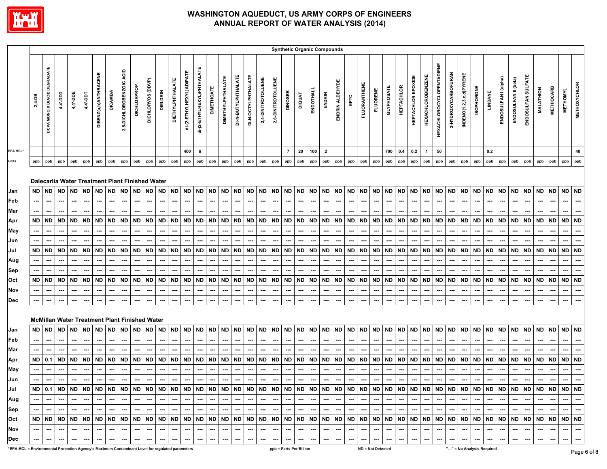

|                                                                                                 |                                           |                                                                       |                                                                                                                                                             |                                                            |                             |                                                                       |                                                                       |                                                         |                                           |                                                                                     |                                                                |                                                                |                                                  |                                                                                            |                                                                              |                                                                |                                                         |                                                                                            |                                            |                                                            |                                                                       | <b>Synthetic Organic Compounds</b>                             |                                                             |                                     |                                                                       |                                                                                                   |                                                                 |                                            |                                                         |                                                                              |                                                                       |                                                  |                                                                |                                                                |                              |                                                  |                                                                                     |                                           |                                     |                                     |                                                                              |                                                                                                                                                                                                                                                                                                                                                                                                                                    |                                                                                     |                                                  |
|-------------------------------------------------------------------------------------------------|-------------------------------------------|-----------------------------------------------------------------------|-------------------------------------------------------------------------------------------------------------------------------------------------------------|------------------------------------------------------------|-----------------------------|-----------------------------------------------------------------------|-----------------------------------------------------------------------|---------------------------------------------------------|-------------------------------------------|-------------------------------------------------------------------------------------|----------------------------------------------------------------|----------------------------------------------------------------|--------------------------------------------------|--------------------------------------------------------------------------------------------|------------------------------------------------------------------------------|----------------------------------------------------------------|---------------------------------------------------------|--------------------------------------------------------------------------------------------|--------------------------------------------|------------------------------------------------------------|-----------------------------------------------------------------------|----------------------------------------------------------------|-------------------------------------------------------------|-------------------------------------|-----------------------------------------------------------------------|---------------------------------------------------------------------------------------------------|-----------------------------------------------------------------|--------------------------------------------|---------------------------------------------------------|------------------------------------------------------------------------------|-----------------------------------------------------------------------|--------------------------------------------------|----------------------------------------------------------------|----------------------------------------------------------------|------------------------------|--------------------------------------------------|-------------------------------------------------------------------------------------|-------------------------------------------|-------------------------------------|-------------------------------------|------------------------------------------------------------------------------|------------------------------------------------------------------------------------------------------------------------------------------------------------------------------------------------------------------------------------------------------------------------------------------------------------------------------------------------------------------------------------------------------------------------------------|-------------------------------------------------------------------------------------|--------------------------------------------------|
|                                                                                                 | $2,4-DB$                                  | <b>MONO &amp; DIACID DEGRADATE</b><br>DCPA                            | 4,4'-DDD                                                                                                                                                    | 4,4'-DDE                                                   | 4,4'-DDT                    | DIBENZ(a,h)ANTHRACENE                                                 | <b>DICAMBA</b>                                                        | ACID<br>3,5-DICHLOROBENZOIC                             | <b>DICHLORPROP</b>                        | DICHLORVOS (DDVP)                                                                   | DIELDRIN                                                       | <b>DIETHYLPHTHALATE</b>                                        | di-(2-ETHYLHEXYL)ADIPATE                         | di-{2-ETHYLHEXYL)PHTHALATE                                                                 | <b>DIMETHOATE</b>                                                            | <b>DIMETHYLPHTHALATE</b>                                       | DI-N-BUTYLPHTHALATE                                     | DI-N-OCTYLPHTHALATE                                                                        | 2,4-DINITROTOLUENE                         | 2,6-DINITROTOLUENE                                         | DINOSEB                                                               | <b>DIQUAT</b>                                                  | ENDOTHALL                                                   | ENDRIN                              | ENDRIN ALDEHYDE                                                       | EРTC                                                                                              | <b>FLUORANTHENE</b>                                             | <b>FLUORENE</b>                            | <b>GLYPHOSATE</b>                                       | <b>HEPTACHLOR</b>                                                            | HEPTACHLOR EPOXIDE                                                    | <b>HEXACHLOROBENZENE</b>                         | HEXACHLOROCYCLOPENTADIENE                                      | 3-HYDROXYCARBOFURAN                                            | INDENO(1,2,3,c,d)PYRENE      | <b>ISOPHORONE</b>                                | LINDANE                                                                             | ENDOSULFAN I (alpha)                      | ENDOSULFAN II (beta)                | ENDOSULFAN SULFATE                  | <b>MALATHION</b>                                                             | <b>METHIOCARB</b>                                                                                                                                                                                                                                                                                                                                                                                                                  | <b>METHOMYL</b>                                                                     | <b>METHOXYCHLOR</b>                              |
| EPA MCL*                                                                                        |                                           |                                                                       |                                                                                                                                                             |                                                            |                             |                                                                       |                                                                       |                                                         |                                           |                                                                                     |                                                                |                                                                | 400                                              | 6                                                                                          |                                                                              |                                                                |                                                         |                                                                                            |                                            |                                                            | $\overline{7}$                                                        | 20                                                             | 100                                                         | $\overline{\mathbf{2}}$             |                                                                       |                                                                                                   |                                                                 |                                            | 700                                                     | 0.4                                                                          | 0.2                                                                   | $\overline{1}$                                   | 50                                                             |                                                                |                              |                                                  | 0.2                                                                                 |                                           |                                     |                                     |                                                                              |                                                                                                                                                                                                                                                                                                                                                                                                                                    |                                                                                     | 40                                               |
| Units                                                                                           | ppb                                       | ppb                                                                   | ppb                                                                                                                                                         | ppb                                                        | ppb                         | ppb                                                                   | ppb                                                                   | ppb                                                     | ppb                                       | ppb                                                                                 | ppb                                                            | ppb                                                            | ppb                                              | ppb                                                                                        | ppb                                                                          | ppb                                                            | ppb                                                     | ppb                                                                                        | ppb                                        | ppb                                                        | ppb                                                                   | ppb                                                            | ppb                                                         | ppb                                 | ppb                                                                   | ppb                                                                                               | ppb                                                             | ppb                                        | ppb                                                     | ppb                                                                          | ppb                                                                   | ppb                                              | ppb                                                            | ppb                                                            | ppb                          | ppb                                              | ppb                                                                                 | ppb                                       | ppb                                 | ppb                                 | ppb                                                                          | ppb                                                                                                                                                                                                                                                                                                                                                                                                                                | ppb                                                                                 | ppb                                              |
| Jan<br>Feb<br>Mar<br>Apr<br>May<br>Jun<br>Jul<br>Aug<br>Sep<br>Oct<br>Nov<br>Dec                | <b>ND</b><br><b>ND</b><br>ND<br><b>ND</b> | <b>ND</b><br>---<br>ND<br>---<br>---<br>ND<br>---<br>---<br>ND<br>--- | Dalecarlia Water Treatment Plant Finished Water<br><b>ND</b><br>---<br><b>ND</b><br>ND<br>ND<br>---<br><b>McMillan Water Treatment Plant Finished Water</b> | <b>ND</b><br>⊷<br><b>ND</b><br>ND<br>…<br><b>ND</b><br>--- | ND<br>ND<br>ND<br><b>ND</b> | <b>ND</b><br>---<br><b>ND</b><br>ND<br>---<br>---<br><b>ND</b><br>--- | <b>ND</b><br>---<br><b>ND</b><br><b>ND</b><br>---<br><b>ND</b><br>--- | ND<br>---<br><b>ND</b><br>---<br>ND<br>---<br>ND<br>--- | <b>ND</b><br>---<br>ND<br>ND<br>---<br>ND | <b>ND</b><br>---<br>---<br>ND<br>---<br>---<br>ND<br>---<br>---<br>ND<br>---<br>--- | <b>ND</b><br>---<br>---<br>ND<br>ND<br>---<br>---<br>ND<br>--- | ND<br>---<br><b>ND</b><br><b>ND</b><br>---<br><b>ND</b><br>--- | <b>ND</b><br>---<br>ND<br>---<br>ND<br>---<br>ND | <b>ND</b><br>---<br>---<br><b>ND</b><br>---<br>---<br>ND<br>---<br>---<br><b>ND</b><br>--- | <b>ND</b><br>---<br>---<br><b>ND</b><br>---<br>ND<br>---<br><b>ND</b><br>--- | <b>ND</b><br>---<br>ND<br>ND<br>---<br>---<br><b>ND</b><br>--- | <b>ND</b><br>---<br><b>ND</b><br>ND<br>---<br><b>ND</b> | <b>ND</b><br>---<br>---<br><b>ND</b><br>---<br><b>ND</b><br>---<br>---<br><b>ND</b><br>--- | ---<br>ND<br>ND<br>---<br><b>ND</b><br>--- | ND ND<br>---<br><b>ND</b><br>ND<br>---<br><b>ND</b><br>--- | <b>ND</b><br>---<br><b>ND</b><br><b>ND</b><br>---<br><b>ND</b><br>--- | <b>ND</b><br>---<br><b>ND</b><br>ND<br>---<br><b>ND</b><br>--- | <b>ND</b><br>---<br><b>ND</b><br><b>ND</b><br><br><b>ND</b> | <b>ND</b><br><b>ND</b><br>ND<br>ND. | <b>ND</b><br>---<br><b>ND</b><br>---<br>ND<br>---<br><b>ND</b><br>--- | <b>ND</b><br>---<br>---<br><b>ND</b><br>---<br><b>ND</b><br>---<br>---<br><b>ND</b><br>---<br>--- | ND ND<br>---<br><b>ND</b><br><b>ND</b><br>…<br><b>ND</b><br>--- | ---<br><b>ND</b><br>ND<br>---<br><b>ND</b> | <b>ND</b><br>---<br><b>ND</b><br>---<br>ND<br>---<br>ND | <b>ND</b><br>---<br><b>ND</b><br><b>ND</b><br>---<br>---<br><b>ND</b><br>--- | <b>ND</b><br>---<br><b>ND</b><br><b>ND</b><br>---<br><b>ND</b><br>--- | <b>ND</b><br><b>ND</b><br>ND<br><b>ND</b><br>--- | <b>ND</b><br>---<br><b>ND</b><br>ND<br>---<br><b>ND</b><br>--- | <b>ND</b><br>---<br><b>ND</b><br><b>ND</b><br>---<br><b>ND</b> | ND<br>ND<br>ND<br>ND<br>---  | <b>ND</b><br>---<br><b>ND</b><br>ND<br><b>ND</b> | <b>ND</b><br>---<br>---<br><b>ND</b><br>---<br><b>ND</b><br>---<br>---<br>ND<br>--- | <b>ND</b><br>---<br><b>ND</b><br>ND<br>ND | ND.<br>---<br>ND<br>ND<br>---<br>ND | <b>ND</b><br><b>ND</b><br>ND<br>ND. | <b>ND</b><br>---<br><b>ND</b><br>---<br>ND<br>---<br>---<br><b>ND</b><br>--- | <b>ND</b><br>---<br>---<br><b>ND</b><br><b>ND</b><br>---<br><b>ND</b>                                                                                                                                                                                                                                                                                                                                                              | <b>ND</b><br>---<br>---<br><b>ND</b><br>---<br><b>ND</b><br>---<br>---<br><b>ND</b> | <b>ND</b><br><b>ND</b><br><b>ND</b><br><b>ND</b> |
| Jan                                                                                             | <b>ND</b>                                 | <b>ND</b>                                                             | <b>ND</b>                                                                                                                                                   | <b>ND</b>                                                  | <b>ND</b>                   | <b>ND</b>                                                             | <b>ND</b>                                                             | ND                                                      | <b>ND</b>                                 | ND                                                                                  | <b>ND</b>                                                      | <b>ND</b>                                                      | ND                                               | <b>ND</b>                                                                                  | <b>ND</b>                                                                    | <b>ND</b>                                                      | <b>ND</b>                                               | <b>ND</b>                                                                                  | <b>ND</b>                                  | <b>ND</b>                                                  | <b>ND</b>                                                             | <b>ND</b>                                                      | <b>ND</b>                                                   | <b>ND</b>                           | <b>ND</b>                                                             | <b>ND</b>                                                                                         | <b>ND</b>                                                       | <b>ND</b>                                  | <b>ND</b>                                               | <b>ND</b>                                                                    | <b>ND</b>                                                             | <b>ND</b>                                        | <b>ND</b>                                                      | <b>ND</b>                                                      | ND                           | <b>ND</b>                                        | <b>ND</b>                                                                           | <b>ND</b>                                 | <b>ND</b>                           | <b>ND</b>                           | <b>ND</b>                                                                    | <b>ND</b>                                                                                                                                                                                                                                                                                                                                                                                                                          | ND                                                                                  | <b>ND</b>                                        |
| Feb                                                                                             |                                           | ---                                                                   | ---                                                                                                                                                         | ---                                                        |                             | ---                                                                   | ---                                                                   | ---                                                     | ---                                       | ---                                                                                 | ---                                                            | ---                                                            | ---                                              | ---                                                                                        | ---                                                                          | ---                                                            | ---                                                     | ---                                                                                        | ---                                        | ---                                                        | ---                                                                   | ---                                                            | ---                                                         |                                     | ---                                                                   | ---                                                                                               | …                                                               |                                            | ---                                                     | ---                                                                          | ---                                                                   |                                                  | ---                                                            | ---                                                            | ---                          |                                                  | ---                                                                                 | ---                                       | ---                                 |                                     | ---                                                                          | ---                                                                                                                                                                                                                                                                                                                                                                                                                                | ---                                                                                 | $\overline{\phantom{a}}$                         |
| Mar                                                                                             |                                           |                                                                       |                                                                                                                                                             |                                                            |                             |                                                                       |                                                                       |                                                         |                                           |                                                                                     |                                                                |                                                                |                                                  |                                                                                            |                                                                              |                                                                |                                                         |                                                                                            |                                            |                                                            |                                                                       |                                                                |                                                             |                                     |                                                                       |                                                                                                   |                                                                 |                                            |                                                         |                                                                              |                                                                       |                                                  |                                                                |                                                                |                              |                                                  |                                                                                     |                                           |                                     |                                     |                                                                              |                                                                                                                                                                                                                                                                                                                                                                                                                                    |                                                                                     |                                                  |
| Apr                                                                                             | ND                                        | 0.1                                                                   | ND                                                                                                                                                          | ND                                                         | ND                          | ND                                                                    | <b>ND</b>                                                             | ND                                                      | ND                                        | ND                                                                                  | ND                                                             | ND                                                             | <b>ND</b>                                        | <b>ND</b>                                                                                  | ND                                                                           | ND                                                             | ND                                                      | <b>ND</b>                                                                                  | ND                                         | ND                                                         | ND                                                                    | ND                                                             | <b>ND</b>                                                   | ND                                  | <b>ND</b>                                                             | <b>ND</b>                                                                                         | <b>ND</b>                                                       | <b>ND</b>                                  | ND                                                      | <b>ND</b>                                                                    | <b>ND</b>                                                             | ND                                               | ND                                                             | <b>ND</b>                                                      | ND                           | ND                                               | <b>ND</b>                                                                           | ND                                        | ND                                  | ND.                                 | ND                                                                           | ND                                                                                                                                                                                                                                                                                                                                                                                                                                 | ND.                                                                                 | <b>ND</b>                                        |
| May                                                                                             |                                           | ---                                                                   | ---                                                                                                                                                         | ---                                                        | ---                         | ---                                                                   | ---                                                                   | ---                                                     | ---                                       | ---                                                                                 | ---                                                            | ---                                                            | ---                                              | ---                                                                                        | ---                                                                          | ---                                                            | ---                                                     | ---                                                                                        | ---                                        | $\overline{\phantom{a}}$                                   | ---                                                                   | ---                                                            | ---                                                         | ---                                 | ---                                                                   | $\hspace{0.05cm} \cdots$                                                                          | ---                                                             |                                            | ---                                                     | ---                                                                          | ---                                                                   | ---                                              | ---                                                            | ---                                                            | ---                          | ---                                              | ---                                                                                 | ---                                       | ---                                 | ---                                 | ---                                                                          | ---                                                                                                                                                                                                                                                                                                                                                                                                                                | ---                                                                                 |                                                  |
| Jun                                                                                             |                                           | ---                                                                   | ---                                                                                                                                                         | ---                                                        |                             | ---                                                                   |                                                                       | ---                                                     |                                           | ---                                                                                 | ---                                                            |                                                                |                                                  | ---                                                                                        | ---                                                                          | ---                                                            | ---                                                     | ---                                                                                        | ---                                        |                                                            | ---                                                                   | ---                                                            |                                                             |                                     |                                                                       | ---                                                                                               | ---                                                             |                                            |                                                         | ---                                                                          | ---                                                                   |                                                  |                                                                |                                                                |                              |                                                  |                                                                                     |                                           |                                     |                                     | ---                                                                          | ---                                                                                                                                                                                                                                                                                                                                                                                                                                |                                                                                     |                                                  |
| Jul                                                                                             |                                           |                                                                       |                                                                                                                                                             |                                                            |                             |                                                                       |                                                                       |                                                         |                                           |                                                                                     |                                                                |                                                                |                                                  |                                                                                            |                                                                              |                                                                |                                                         |                                                                                            |                                            |                                                            |                                                                       |                                                                |                                                             |                                     |                                                                       |                                                                                                   |                                                                 |                                            |                                                         |                                                                              |                                                                       |                                                  |                                                                |                                                                |                              |                                                  |                                                                                     |                                           |                                     |                                     |                                                                              |                                                                                                                                                                                                                                                                                                                                                                                                                                    |                                                                                     |                                                  |
| Aug                                                                                             |                                           | $\sim$                                                                | $\cdots$                                                                                                                                                    | $\sim$                                                     | $\sim$                      | $\sim$                                                                | $\sim$                                                                | $\cdots$                                                | $\cdots$                                  | $\cdots$                                                                            | $\overline{\phantom{a}}$                                       | $\sim$                                                         | $\sim$                                           | $\sim$                                                                                     | $\sim$                                                                       | $\sim$                                                         | $\sim$                                                  | $\cdots$                                                                                   |                                            | $-1$ $-1$                                                  | $\sim$                                                                | $\cdots$                                                       | $\sim$                                                      | $\sim$                              | $\sim$                                                                | $\cdots$                                                                                          | $\sim$                                                          | $\sim$                                     | $\sim$                                                  | $\cdots$                                                                     | $\sim$                                                                | $\overline{\phantom{a}}$                         | $\sim$                                                         | $\hspace{0.05cm} \cdots$                                       | $\cdots$                     | $\cdots$                                         | $\sim$                                                                              | $\sim$                                    | $\sim$                              | ---                                 | $\cdots$                                                                     | $\cdots$                                                                                                                                                                                                                                                                                                                                                                                                                           | $\cdots$                                                                            | $\cdots$                                         |
| <b>Sep</b>                                                                                      |                                           | $\sim$                                                                | $-1$                                                                                                                                                        | $\sim$                                                     | $\sim$                      | $\sim$                                                                | $\overline{a}$                                                        | $\sim$ $\sim$                                           | $\sim$                                    | $\sim$                                                                              | --- I                                                          | $\sim$                                                         | $\sim$                                           |                                                                                            | $-1 - 1 - 1 - 1$                                                             |                                                                | $\sim$                                                  | $\sim$                                                                                     |                                            | $-1 - 1$                                                   | $\sim$                                                                | $\sim$                                                         | $\sim$ $\sim$                                               | $\overline{a}$                      | $\sim$                                                                | $\sim$                                                                                            | $\sim$                                                          | $\overline{a}$                             | $\overline{\phantom{a}}$                                | $\sim$                                                                       | $\sim$                                                                | $\sim$                                           | $\sim$                                                         | $\overline{a}$                                                 | $\sim$ $\sim$                | $-1$                                             | $\sim$                                                                              | $\sim$ $\sim$                             | $\sim$                              | $\overline{a}$                      |                                                                              | $\begin{array}{ccc} \mathbf{1} & \mathbf{1} & \mathbf{1} & \mathbf{1} & \mathbf{1} & \mathbf{1} & \mathbf{1} & \mathbf{1} & \mathbf{1} & \mathbf{1} & \mathbf{1} & \mathbf{1} & \mathbf{1} & \mathbf{1} & \mathbf{1} & \mathbf{1} & \mathbf{1} & \mathbf{1} & \mathbf{1} & \mathbf{1} & \mathbf{1} & \mathbf{1} & \mathbf{1} & \mathbf{1} & \mathbf{1} & \mathbf{1} & \mathbf{1} & \mathbf{1} & \mathbf{1} & \mathbf{1} & \mathbf$ | $\sim$                                                                              | $\sim$                                           |
| Oct                                                                                             |                                           |                                                                       |                                                                                                                                                             |                                                            |                             |                                                                       |                                                                       |                                                         |                                           |                                                                                     |                                                                |                                                                |                                                  |                                                                                            |                                                                              |                                                                |                                                         |                                                                                            |                                            |                                                            |                                                                       |                                                                |                                                             |                                     |                                                                       |                                                                                                   |                                                                 |                                            |                                                         |                                                                              |                                                                       |                                                  |                                                                |                                                                |                              |                                                  |                                                                                     |                                           |                                     |                                     |                                                                              |                                                                                                                                                                                                                                                                                                                                                                                                                                    |                                                                                     |                                                  |
| Nov                                                                                             |                                           | ---                                                                   | ---                                                                                                                                                         | $\cdots$                                                   | $\sim$                      | $\hspace{0.05cm} \cdots$                                              | $\hspace{0.05cm} \cdots$                                              | ---                                                     | ---                                       | $\hspace{0.05cm} \cdots$                                                            | ---                                                            | ---                                                            | $\overline{\phantom{a}}$                         | ---                                                                                        | ---                                                                          | ---                                                            | $\hspace{0.05cm} \cdots$                                | ---                                                                                        | $\hspace{0.05cm} \cdots$                   | $\cdots$                                                   | $\sim$                                                                |                                                                | ---                                                         | ---                                 | $\overline{\phantom{a}}$                                              | $\hspace{0.05cm} \ldots$                                                                          | ---                                                             | ---                                        | $\hspace{0.05cm} \cdots$                                | $\hspace{0.05cm} \cdots$                                                     | ---                                                                   | $\hspace{0.05cm} \cdots$                         | ---                                                            | $\sim$                                                         | $\sim$                       | $\sim$                                           | $\overline{\phantom{a}}$                                                            | ---                                       |                                     | ---                                 | ---                                                                          |                                                                                                                                                                                                                                                                                                                                                                                                                                    | ---                                                                                 | $\sim$                                           |
| Dec                                                                                             |                                           |                                                                       |                                                                                                                                                             |                                                            |                             |                                                                       |                                                                       |                                                         |                                           |                                                                                     |                                                                |                                                                |                                                  | $\cdots$                                                                                   | $\hspace{0.05cm} \cdots$                                                     | $\sim$                                                         | $\cdots$                                                | $\hspace{0.05cm} \cdots$                                                                   | $\cdots$                                   | $\cdots$                                                   | $\sim$                                                                | $\hspace{0.05cm} \cdots$                                       |                                                             | $\cdots$                            | $\sim$                                                                | $\hspace{0.05cm} \cdots$                                                                          | $\overline{\phantom{a}}$                                        |                                            |                                                         | $\hspace{0.05cm} \cdots$                                                     | ---                                                                   | $\hspace{0.05cm} \cdots$                         | $\hspace{0.05cm} \cdots$                                       | $\hspace{0.05cm} \cdots$                                       | $\cdots$                     | $\hspace{0.05cm} \cdots$                         | $\overline{\phantom{a}}$                                                            | $\overline{\phantom{a}}$                  | $\sim$                              |                                     | $\hspace{0.05cm} \cdots$                                                     | $\sim$                                                                                                                                                                                                                                                                                                                                                                                                                             | $\sim$                                                                              | $\cdots$                                         |
| *EPA MCL = Environmental Protection Agency's Maximum Contaminant Level for regulated parameters |                                           |                                                                       |                                                                                                                                                             |                                                            |                             |                                                                       |                                                                       |                                                         |                                           |                                                                                     |                                                                |                                                                |                                                  |                                                                                            |                                                                              |                                                                |                                                         |                                                                                            |                                            | ppb = Parts Per Billion                                    |                                                                       |                                                                |                                                             |                                     |                                                                       |                                                                                                   |                                                                 | ND = Not Detected                          |                                                         |                                                                              |                                                                       |                                                  |                                                                |                                                                | "---" = No Analysis Required |                                                  |                                                                                     |                                           |                                     |                                     |                                                                              |                                                                                                                                                                                                                                                                                                                                                                                                                                    |                                                                                     |                                                  |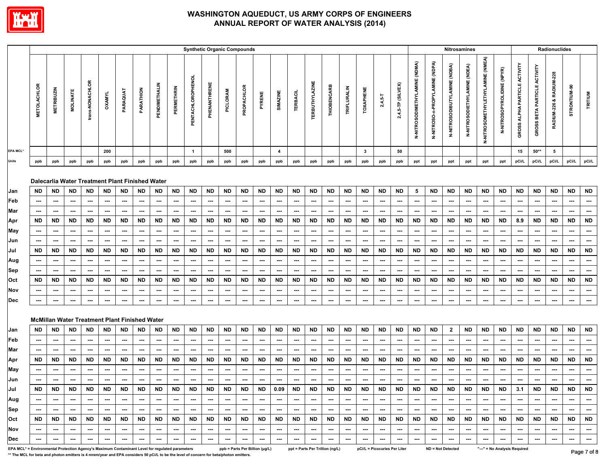

|                                                                                                 |                    |                                       |                                       |                                       |                                       |                                                      |                          |                          |                                | <b>Synthetic Organic Compounds</b>    |                          |                                |                                       |                          |                                                      |                                       |                                       |                                       |                                       |                                       |                                       |                                       |                                       |                                       | <b>Nitrosamines</b>                   |                                       |                                       |                                       |                                       |                                     | <b>Radionuclides</b>     |                                |                                       |
|-------------------------------------------------------------------------------------------------|--------------------|---------------------------------------|---------------------------------------|---------------------------------------|---------------------------------------|------------------------------------------------------|--------------------------|--------------------------|--------------------------------|---------------------------------------|--------------------------|--------------------------------|---------------------------------------|--------------------------|------------------------------------------------------|---------------------------------------|---------------------------------------|---------------------------------------|---------------------------------------|---------------------------------------|---------------------------------------|---------------------------------------|---------------------------------------|---------------------------------------|---------------------------------------|---------------------------------------|---------------------------------------|---------------------------------------|---------------------------------------|-------------------------------------|--------------------------|--------------------------------|---------------------------------------|
|                                                                                                 | <b>METOLACHLOR</b> | <b>METRIBUZIN</b>                     | <b>MOLINATE</b>                       | trans-NONACHLOR                       | <b>OXAMYL</b>                         | PARAQUAT                                             | PARATHION                | PENDIMETHALIN            | PERMETHRIN                     | PENTACHLOROPHENOL                     | PHENANTHRENE             | PICLORAM                       | PROPACHLOR                            | PYRENE                   | SIMAZINE                                             | <b>TERBACIL</b>                       | <b>TERBUTHYLAZINE</b>                 | THIOBENCARB                           | TRIFLURALIN                           | <b>TOXAPHENE</b>                      | $2,4,5-$ T                            | 2,4,5-TP (SILVEX)                     | N-NITROSODIMETHYLAMINE (NDMA)         | <b>N-NITROSO-n-PROPYLAMINE (NDPA)</b> | N-NITROSODIBUTYLAMINE (NDBA)          | N-NITROSODIETHYLAMINE (NDEA)          | N-NITROSOMETHYLETHYLAMINE (NMEA)      | N-NITROSOPYROLIDINE (NPYR)            | GROSS ALPHA PARTICLE ACTIVITY         | <b>GROSS BETA PARTICLE ACTIVITY</b> | RADIUM-226 & RADIUM-228  | STRONTIUM-90                   | TRITIUM                               |
| <b>EPA MCL*</b>                                                                                 |                    |                                       |                                       |                                       | 200                                   |                                                      |                          |                          |                                | $\overline{1}$                        |                          | 500                            |                                       |                          | 4                                                    |                                       |                                       |                                       |                                       | $\mathbf{3}$                          |                                       | 50                                    |                                       |                                       |                                       |                                       |                                       |                                       | 15                                    | $50**$                              | 5                        |                                |                                       |
| Units                                                                                           | ppb                | ppb                                   | ppb                                   | ppb                                   | ppb                                   | ppb                                                  | ppb                      | ppb                      | ppb                            | ppb                                   | ppb                      | ppb                            | ppb                                   | ppb                      | ppb                                                  | ppb                                   | ppb                                   | ppb                                   | ppb                                   | ppb                                   | ppb                                   | ppb                                   | ppt                                   | ppt                                   | ppt                                   | ppt                                   | ppt                                   | ppt                                   | pCi/L                                 | pCi/L                               | pCi/L                    | pCi/L                          | pCi/L                                 |
|                                                                                                 |                    |                                       |                                       |                                       |                                       | Dalecarlia Water Treatment Plant Finished Water      |                          |                          |                                |                                       |                          |                                |                                       |                          |                                                      |                                       |                                       |                                       |                                       |                                       |                                       |                                       |                                       |                                       |                                       |                                       |                                       |                                       |                                       |                                     |                          |                                |                                       |
| Jan                                                                                             | ND                 | <b>ND</b>                             | ND                                    | <b>ND</b>                             | <b>ND</b>                             | <b>ND</b>                                            | <b>ND</b>                | <b>ND</b>                | <b>ND</b>                      | <b>ND</b>                             | <b>ND</b>                | <b>ND</b>                      | <b>ND</b>                             | <b>ND</b>                | <b>ND</b>                                            | <b>ND</b>                             | <b>ND</b>                             | <b>ND</b>                             | ND                                    | <b>ND</b>                             | <b>ND</b>                             | <b>ND</b>                             | 5                                     | <b>ND</b>                             | <b>ND</b>                             | <b>ND</b>                             | <b>ND</b>                             | <b>ND</b>                             | <b>ND</b>                             | <b>ND</b>                           | <b>ND</b>                | <b>ND</b>                      | <b>ND</b>                             |
| Feb                                                                                             | ---                | ---                                   | ---                                   | ---                                   | $\overline{\phantom{a}}$              | ---                                                  | ---                      | ---                      | $\hspace{0.05cm} \cdots$       | $\hspace{0.05cm} \cdots$              | ---                      | ---                            | ---                                   | ---                      | ---                                                  | $\hspace{0.05cm} \cdots$              | ---                                   | ---                                   | $\hspace{0.05cm} \cdots$              | ---                                   | $\hspace{0.05cm} \cdots$              | $\overline{\phantom{a}}$              | ---                                   | ---                                   | $\hspace{0.05cm} \cdots$              | ---                                   | ---                                   | ---                                   | ---                                   | ---                                 | ---                      | $\hspace{0.05cm} \cdots$       | ---                                   |
| Mar                                                                                             | ⊷<br><b>ND</b>     | $\hspace{0.05cm} \cdots$<br>ND        | ---<br><b>ND</b>                      | $\hspace{0.05cm}$<br>ND               | $\overline{\phantom{a}}$<br>ND        | ---<br><b>ND</b>                                     | ---<br>ND                | ---<br>ND                | $\cdots$<br>ND                 | $\hspace{0.05cm} \cdots$<br><b>ND</b> | ---<br><b>ND</b>         | ---<br>ND                      | $\hspace{0.05cm} \cdots$<br><b>ND</b> | ---<br><b>ND</b>         | $\hspace{0.05cm} \cdots$<br><b>ND</b>                | $\overline{\phantom{a}}$<br>ND        | ---                                   | ---<br><b>ND</b>                      | $\cdots$<br>ND                        | $\hspace{0.05cm} \cdots$<br><b>ND</b> | $\hspace{0.05cm} \cdots$<br>ND        | $\hspace{0.05cm} \cdots$<br>ND        | $\overline{\phantom{a}}$<br><b>ND</b> | ---<br><b>ND</b>                      | $\hspace{0.05cm} \cdots$<br><b>ND</b> | ---<br><b>ND</b>                      | $\overline{\phantom{a}}$<br><b>ND</b> | $\overline{\phantom{a}}$<br><b>ND</b> | ---<br>8.9                            | ---                                 | ---<br><b>ND</b>         | $\cdots$<br>ND                 | $\overline{\phantom{a}}$<br><b>ND</b> |
| Apr                                                                                             |                    |                                       |                                       |                                       |                                       |                                                      |                          |                          |                                |                                       |                          |                                |                                       |                          |                                                      |                                       | <b>ND</b>                             |                                       |                                       |                                       |                                       |                                       |                                       |                                       |                                       |                                       |                                       |                                       |                                       | ND                                  |                          |                                |                                       |
| May                                                                                             | ---                | ---                                   | ---                                   | $\hspace{0.05cm} \cdots$              | $\overline{\phantom{a}}$              | $\hspace{0.05cm} \cdots$                             | ---                      | ---                      | $\hspace{0.05cm} \cdots$       | ---                                   | ---                      | ---                            | $\hspace{0.05cm} \cdots$              | ---                      | $\hspace{0.05cm} \cdots$<br>$\overline{\phantom{a}}$ | ---                                   | $\hspace{0.05cm} \cdots$              | ---                                   | $\hspace{0.05cm} \cdots$              | $\overline{\phantom{a}}$              | ---                                   | $\overline{\phantom{a}}$              | $\overline{\phantom{a}}$              | ---                                   | ---                                   | ---                                   | $\hspace{0.05cm} \cdots$              | $\sim$                                | ---                                   | $\hspace{0.05cm} \cdots$            | ---                      | ---<br>$\sim$                  | ---<br>---                            |
| Jun                                                                                             | ---<br><b>ND</b>   | $\overline{\phantom{a}}$<br><b>ND</b> | $\overline{\phantom{a}}$<br><b>ND</b> | $\overline{\phantom{a}}$<br><b>ND</b> | $\overline{\phantom{a}}$<br><b>ND</b> | $\overline{\phantom{a}}$<br><b>ND</b>                | ---<br><b>ND</b>         | ---<br><b>ND</b>         | $\hspace{0.05cm} \cdots$<br>ND | $\overline{\phantom{a}}$<br><b>ND</b> | ---<br><b>ND</b>         | ---<br><b>ND</b>               | $\hspace{0.05cm} \cdots$<br><b>ND</b> | ---<br><b>ND</b>         | <b>ND</b>                                            | $\overline{\phantom{a}}$<br><b>ND</b> | $\overline{\phantom{a}}$<br><b>ND</b> | $\overline{\phantom{a}}$<br><b>ND</b> | $\hspace{0.05cm} \cdots$<br><b>ND</b> | ---<br><b>ND</b>                      | $\hspace{0.05cm} \cdots$<br><b>ND</b> | $\overline{\phantom{a}}$<br><b>ND</b> | ---<br><b>ND</b>                      | ---<br><b>ND</b>                      | $\overline{\phantom{a}}$<br><b>ND</b> | ---<br><b>ND</b>                      | $\overline{\phantom{a}}$<br><b>ND</b> | $\overline{\phantom{a}}$<br><b>ND</b> | $\overline{\phantom{a}}$<br><b>ND</b> | ---<br><b>ND</b>                    | ---<br><b>ND</b>         | ND                             | <b>ND</b>                             |
| Jul                                                                                             |                    |                                       |                                       |                                       |                                       |                                                      |                          |                          |                                |                                       |                          |                                |                                       |                          |                                                      |                                       |                                       |                                       |                                       |                                       |                                       |                                       |                                       |                                       |                                       |                                       |                                       |                                       |                                       |                                     |                          |                                |                                       |
| Aug                                                                                             | ---                | ---                                   | $\hspace{0.05cm} \cdots$              | $\sim$                                | $\sim$                                | $\hspace{0.05cm} \cdots$                             | ---                      | ---                      | $\hspace{0.05cm} \cdots$       | $\hspace{0.05cm} \cdots$              | ---                      | ---                            | $\hspace{0.05cm} \cdots$              | ---                      | $\hspace{0.05cm} \cdots$                             | $\hspace{0.05cm} \cdots$              | $\hspace{0.05cm} \cdots$              | $\sim$                                | $\hspace{0.05cm} \cdots$              | $\hspace{0.05cm} \cdots$              | $\hspace{0.05cm} \cdots$              | $\overline{\phantom{a}}$              | $\hspace{0.05cm} \cdots$              | ---                                   | $\hspace{0.05cm} \cdots$              | $\hspace{0.05cm} \cdots$              | $\hspace{0.05cm} \cdots$              | $\overline{\phantom{a}}$              | ---                                   | $\hspace{0.05cm} \cdots$            | ---                      | $\hspace{0.05cm} \cdots$       | ---                                   |
| Sep<br>Oct                                                                                      | ---<br><b>ND</b>   | $\hspace{0.05cm} \cdots$<br><b>ND</b> | $\hspace{0.05cm} \cdots$<br><b>ND</b> | $\hspace{0.05cm}$<br><b>ND</b>        | $\overline{\phantom{a}}$<br><b>ND</b> | $\hspace{0.05cm} \cdots$<br><b>ND</b>                | ---<br><b>ND</b>         | $\cdots$<br><b>ND</b>    | $\hspace{0.05cm} \cdots$<br>ND | $\hspace{0.05cm} \cdots$<br><b>ND</b> | ---<br><b>ND</b>         | ---<br><b>ND</b>               | $\hspace{0.05cm} \cdots$<br><b>ND</b> | ---<br><b>ND</b>         | $\hspace{0.05cm} \cdots$<br><b>ND</b>                | $\hspace{0.05cm} \cdots$<br><b>ND</b> | $\overline{\phantom{a}}$<br><b>ND</b> | ---<br><b>ND</b>                      | $\overline{\phantom{a}}$<br>ND        | ---<br><b>ND</b>                      | $\hspace{0.05cm} \cdots$<br><b>ND</b> | $\overline{\phantom{a}}$<br><b>ND</b> | $\overline{\phantom{a}}$<br><b>ND</b> | ---<br><b>ND</b>                      | $\hspace{0.05cm} \cdots$<br><b>ND</b> | $\hspace{0.05cm} \cdots$<br><b>ND</b> | $\overline{\phantom{a}}$<br><b>ND</b> | $\hspace{0.05cm} \cdots$<br><b>ND</b> | ---<br><b>ND</b>                      | ---<br><b>ND</b>                    | ---<br><b>ND</b>         | $\hspace{0.05cm} \cdots$<br>ND | $\cdots$<br><b>ND</b>                 |
| Nov                                                                                             | ---                | ---                                   | ---                                   | ---                                   | ---                                   | ---                                                  | ---                      | ---                      | ---                            | ---                                   | ---                      | ---                            | ---                                   | ---                      | ---                                                  | ---                                   | ---                                   | ---                                   | ---                                   | ---                                   | $\hspace{0.05cm} \cdots$              | ---                                   | $\overline{\phantom{a}}$              | ---                                   | ---                                   | ---                                   | ---                                   | ---                                   | ---                                   | ---                                 | ---                      | $\overline{\phantom{a}}$       | ---                                   |
| <b>Dec</b>                                                                                      | ---                | $\overline{\phantom{a}}$              | $\overline{\phantom{a}}$              | $\cdots$                              | $\hspace{0.05cm} \cdots$              | $\cdots$                                             | ---                      | ---                      | $\hspace{0.05cm} \cdots$       | ---                                   | ---                      | ---                            | ---                                   | ---                      | ---                                                  | $\cdots$                              | ---                                   | ---                                   | ---                                   | ---                                   | ---                                   | $\overline{\phantom{a}}$              | $\cdots$                              | ---                                   | $\overline{\phantom{a}}$              | ---                                   | ---                                   | ---                                   | ---                                   | ---                                 | ---                      | $\hspace{0.05cm} \cdots$       | $\overline{\phantom{a}}$              |
|                                                                                                 |                    |                                       |                                       |                                       |                                       | <b>McMillan Water Treatment Plant Finished Water</b> |                          |                          |                                |                                       |                          |                                |                                       |                          |                                                      |                                       |                                       |                                       |                                       |                                       |                                       |                                       |                                       |                                       |                                       |                                       |                                       |                                       |                                       |                                     |                          |                                |                                       |
| Jan                                                                                             | ND.                | ND                                    | ND                                    | ND                                    | ND                                    | ND                                                   | ND                       | ND                       | ND                             | <b>ND</b>                             | <b>ND</b>                | <b>ND</b>                      | <b>ND</b>                             | <b>ND</b>                | <b>ND</b>                                            | <b>ND</b>                             | <b>ND</b>                             | <b>ND</b>                             | ND                                    | <b>ND</b>                             | <b>ND</b>                             | <b>ND</b>                             | <b>ND</b>                             | <b>ND</b>                             | $\mathbf{2}$                          | ND                                    | <b>ND</b>                             | <b>ND</b>                             | <b>ND</b>                             | <b>ND</b>                           | <b>ND</b>                | ND                             | <b>ND</b>                             |
| Feb                                                                                             | ---                | $\hspace{0.05cm} \cdots$              | ---                                   | $\sim$                                | $\hspace{0.05cm} \cdots$              | $\cdots$                                             | ---                      | $\cdots$                 | $\hspace{0.05cm} \cdots$       | ---                                   | ---                      | ---                            | $\cdots$                              | ---                      | $\cdots$                                             | $\hspace{0.05cm} \cdots$              | $\hspace{0.05cm} \cdots$              | $\hspace{0.05cm} \cdots$              | $\hspace{0.05cm} \cdots$              | $\hspace{0.05cm} \cdots$              | $\sim$                                | $\overline{\phantom{a}}$              | $\sim$                                | ---                                   | $\hspace{0.05cm} \cdots$              | ---                                   | $\hspace{0.05cm} \cdots$              | $\hspace{0.05cm} \cdots$              | $\sim$                                | ---                                 | ---                      | $\hspace{0.05cm} \cdots$       | $\hspace{0.05cm} \cdots$              |
| Mar                                                                                             | ---                | ---                                   | ---                                   | ---                                   | $\sim$                                | ---                                                  | ---                      | ---                      | $\hspace{0.05cm} \cdots$       | ---                                   | ---                      | ---                            | ---                                   | ---                      | ---                                                  | $\hspace{0.05cm} \cdots$              | ---                                   | ---                                   | $\hspace{0.05cm} \cdots$              | $\hspace{0.05cm} \cdots$              | ---                                   | $\hspace{0.05cm} \cdots$              | $\overline{\phantom{a}}$              | ---                                   | ---                                   | ---                                   | ---                                   | $\hspace{0.05cm} \cdots$              | $\hspace{0.05cm} \cdots$              | ---                                 | ---                      | $\hspace{0.05cm} \ldots$       | ---                                   |
| Apr                                                                                             | ND                 | <b>ND</b>                             | <b>ND</b>                             | <b>ND</b>                             | <b>ND</b>                             | ND                                                   | ND                       | <b>ND</b>                | ND                             | <b>ND</b>                             | ND                       | <b>ND</b>                      | <b>ND</b>                             | <b>ND</b>                | <b>ND</b>                                            | <b>ND</b>                             | ND                                    | <b>ND</b>                             | ND                                    | <b>ND</b>                             | <b>ND</b>                             | <b>ND</b>                             | ND                                    | ND                                    | <b>ND</b>                             | <b>ND</b>                             | <b>ND</b>                             | ND                                    | <b>ND</b>                             | ND                                  | <b>ND</b>                | ND                             | <b>ND</b>                             |
| <b>May</b>                                                                                      | ---                | $\hspace{0.05cm} \cdots$              | $\hspace{0.05cm} \cdots$              | $\hspace{0.05cm} \cdots$              | $\hspace{0.05cm} \cdots$              | $\cdots$                                             | ---                      | $\cdots$                 | $\hspace{0.05cm} \cdots$       | ---                                   | ---                      | $\hspace{0.05cm} \cdots$       | $\hspace{0.05cm} \cdots$              | ---                      | $\hspace{0.05cm} \cdots$                             | $\hspace{0.05cm} \cdots$              | $\hspace{0.05cm} \cdots$              | $\overline{\phantom{a}}$              | $\hspace{0.05cm} \cdots$              | $\hspace{0.05cm} \cdots$              | ---                                   | $\overline{\phantom{a}}$              | $\sim$                                | ---                                   | $\hspace{0.05cm} \cdots$              | ---                                   | $\hspace{0.05cm} \cdots$              | $\overline{\phantom{a}}$              | $\hspace{0.05cm} \cdots$              | ---                                 | ---                      | $\hspace{0.05cm} \cdots$       | ---                                   |
| Jun                                                                                             | ---                | $\hspace{0.05cm} \cdots$              | $\cdots$                              | $\hspace{0.05cm} \cdots$              | $\hspace{0.05cm} \cdots$              | $\hspace{0.05cm} \cdots$                             | ---                      | $\hspace{0.05cm} \cdots$ | $\hspace{0.05cm} \cdots$       | $\hspace{0.05cm} \cdots$              | ---                      | ---                            | $\hspace{0.05cm} \cdots$              | $\hspace{0.05cm} \cdots$ | $\hspace{0.05cm} \cdots$                             | $\hspace{0.05cm} \cdots$              | $\overline{\phantom{a}}$              | $\hspace{0.05cm} \cdots$              | $\hspace{0.05cm} \cdots$              | $\hspace{0.05cm} \ldots$              | ---                                   | $\cdots$                              | $\overline{\phantom{a}}$              | $\hspace{0.05cm} \cdots$              | $\hspace{0.05cm} \cdots$              | $\sim$                                | $\hspace{0.05cm} \cdots$              | $\hspace{0.05cm} \cdots$              | ---                                   | ---                                 | ---                      | $\cdots$                       | ---                                   |
| Jul                                                                                             | ND                 | <b>ND</b>                             | ND                                    | ND                                    | <b>ND</b>                             | ND                                                   | ND                       | ND                       | ND                             | <b>ND</b>                             | <b>ND</b>                | ND.                            | <b>ND</b>                             | ND                       | 0.09                                                 | ND                                    | ND                                    | ND.                                   | ND                                    | <b>ND</b>                             | ND                                    | <b>ND</b>                             | <b>ND</b>                             | ND                                    | <b>ND</b>                             | ND                                    | <b>ND</b>                             | <b>ND</b>                             | 3.1                                   | ND                                  | <b>ND</b>                | <b>ND</b>                      | ND                                    |
| Aug                                                                                             | ---                | $\overline{\phantom{a}}$              | $\hspace{0.05cm} \cdots$              | $\cdots$                              | $\hspace{0.05cm} \cdots$              | $\cdots$                                             | $\overline{\phantom{a}}$ | $\cdots$                 | $\cdots$                       | $\hspace{0.05cm} \cdots$              | ---                      | $\overline{\phantom{a}}$       | $\hspace{0.05cm} \cdots$              | ---                      | $\cdots$                                             | $\cdots$                              | $\hspace{0.05cm}$                     | $\overline{\phantom{a}}$              | $\overline{\phantom{a}}$              | $\hspace{0.05cm} \cdots$              | $\hspace{0.05cm} \cdots$              | $\overline{\phantom{a}}$              | $\hspace{0.05cm}$                     | $\cdots$                              | $\hspace{0.05cm} \cdots$              | $\hspace{0.05cm} \cdots$              | $\hspace{0.05cm} \cdots$              | $\hspace{0.05cm} \cdots$              | $\overline{\phantom{a}}$              | ---                                 | $\cdots$                 | $\hspace{0.05cm} \cdots$       |                                       |
| Sep                                                                                             | $\sim$             | $\sim$                                | $\sim$                                | $\hspace{0.05cm} \cdots$              | $\overline{\phantom{a}}$              | $\sim$                                               | $\qquad \qquad \cdots$   | $\cdots$                 | $\hspace{0.05cm} \cdots$       | $\hspace{0.05cm} \cdots$              | $\hspace{0.05cm} \cdots$ | $\sim$                         | $\sim$                                | $\overline{\phantom{a}}$ | $\cdots$                                             | $\hspace{0.05cm} \cdots$              | $\sim$                                | $\hspace{0.05cm} \cdots$              | $\hspace{0.05cm} \cdots$              | $\sim$                                | ---                                   | $\sim$                                | $\overline{\phantom{a}}$              | $\sim$                                | $\sim$                                | $\sim$                                | $\hspace{0.05cm} \ldots$              | $\cdots$                              | $\sim$                                | ---                                 | $\qquad \qquad \cdots$   | $\sim$                         | $\sim$                                |
| <b>Oct</b>                                                                                      | ND.                | <b>ND</b>                             | ND                                    | ND                                    | ND                                    | ND                                                   | ND                       | ND                       | ND                             | ND                                    | <b>ND</b>                | ND                             | ND                                    | ND                       | ND                                                   | ND                                    | ND                                    | ND                                    | ND                                    | ND                                    | ND                                    | ND                                    | ND                                    | ND.                                   | ND.                                   | <b>ND</b>                             | ND                                    | ND                                    | ND                                    | ND                                  | ND                       | ND                             | <b>ND</b>                             |
| Nov                                                                                             | ---                | $\overline{\phantom{a}}$              | $\hspace{0.05cm} \cdots$              | $\hspace{0.05cm} \cdots$              | $\overline{\phantom{a}}$              | $\cdots$                                             | ---                      | $\cdots$                 | $\hspace{0.05cm} \cdots$       | $\hspace{0.05cm} \cdots$              | ---                      | $\hspace{0.05cm} \cdots$       | $\hspace{0.05cm} \cdots$              | ---                      | $\hspace{0.05cm} \cdots$                             | $\cdots$                              | $\overline{\phantom{a}}$              | $\hspace{0.05cm} \cdots$              | $\overline{\phantom{a}}$              | $\overline{\phantom{a}}$              | $\hspace{0.05cm}$                     | $\hspace{0.05cm} \cdots$              | $\overline{\phantom{a}}$              | $\hspace{0.05cm} \cdots$              | $\hspace{0.05cm} \cdots$              | $\hspace{0.05cm} \ldots$              | $\hspace{0.05cm} \cdots$              | $\overline{\phantom{a}}$              | $\hspace{0.05cm} \cdots$              | ---                                 | ---                      | $\sim$                         | $\hspace{0.05cm} \cdots$              |
| Dec                                                                                             | ---                | $\sim$                                | $\sim$                                | $\overline{\phantom{a}}$              | $\overline{\phantom{a}}$              | $\overline{\phantom{a}}$                             | ---                      | $\cdots$                 | $\hspace{0.05cm} \cdots$       | ---                                   | $\overline{\phantom{a}}$ | $\overline{\phantom{a}}$       | $\cdots$                              | $\hspace{0.05cm} \cdots$ | $\hspace{0.05cm} \cdots$                             | $\sim$                                | $\overline{\phantom{a}}$              | $\overline{\phantom{a}}$              | $\hspace{0.05cm} \cdots$              | $\hspace{0.05cm} \ldots$              | $\hspace{0.05cm} \cdots$              | $\overline{\phantom{a}}$              | $\overline{\phantom{a}}$              | $\cdots$                              | $\hspace{0.05cm} \cdots$              | $\sim$                                | $\cdots$                              | $\overline{\phantom{a}}$              | $\sim$                                | $\hspace{0.05cm} \cdots$            | $\hspace{0.05cm} \cdots$ | $\hspace{0.05cm} \cdots$       |                                       |
| EPA MCL* = Environmental Protection Agency's Maximum Contaminant Level for regulated parameters |                    |                                       |                                       |                                       |                                       |                                                      |                          |                          |                                |                                       |                          | ppb = Parts Per Billion (µg/L) |                                       |                          |                                                      |                                       |                                       | ppt = Parts Per Trillion (ng/L)       |                                       |                                       | pCi/L = Picocuries Per Liter          |                                       |                                       | <b>ND = Not Detected</b>              |                                       |                                       |                                       | "---" = No Analysis Required          |                                       |                                     |                          |                                | Page 7 of 8                           |